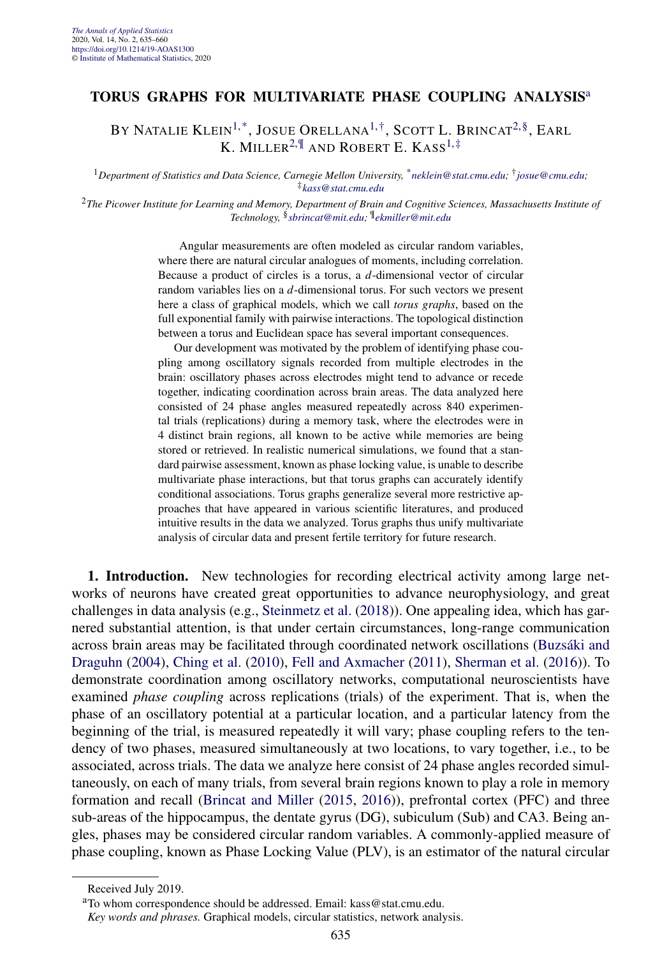## **TORUS GRAPHS FOR MULTIVARIATE PHASE COUPLING ANALYSIS**<sup>a</sup>

BY NATALIE KLEIN<sup>1,\*</sup>, JOSUE ORELLANA<sup>1,†</sup>, SCOTT L. BRINCAT<sup>2,§</sup>, EARL K. MILLER<sup>2, II</sup> AND ROBERT E. KASS<sup>1,‡</sup>

<sup>1</sup>*Department of Statistics and Data Science, Carnegie Mellon University,* \**[neklein@stat.cmu.edu;](mailto:neklein@stat.cmu.edu)* †*[josue@cmu.edu;](mailto:josue@cmu.edu)* ‡*[kass@stat.cmu.edu](mailto:kass@stat.cmu.edu)*

<sup>2</sup>*The Picower Institute for Learning and Memory, Department of Brain and Cognitive Sciences, Massachusetts Institute of Technology,* §*[sbrincat@mit.edu](mailto:sbrincat@mit.edu);* ¶*[ekmiller@mit.edu](mailto:ekmiller@mit.edu)*

> Angular measurements are often modeled as circular random variables, where there are natural circular analogues of moments, including correlation. Because a product of circles is a torus, a *d*-dimensional vector of circular random variables lies on a *d*-dimensional torus. For such vectors we present here a class of graphical models, which we call *torus graphs*, based on the full exponential family with pairwise interactions. The topological distinction between a torus and Euclidean space has several important consequences.

> Our development was motivated by the problem of identifying phase coupling among oscillatory signals recorded from multiple electrodes in the brain: oscillatory phases across electrodes might tend to advance or recede together, indicating coordination across brain areas. The data analyzed here consisted of 24 phase angles measured repeatedly across 840 experimental trials (replications) during a memory task, where the electrodes were in 4 distinct brain regions, all known to be active while memories are being stored or retrieved. In realistic numerical simulations, we found that a standard pairwise assessment, known as phase locking value, is unable to describe multivariate phase interactions, but that torus graphs can accurately identify conditional associations. Torus graphs generalize several more restrictive approaches that have appeared in various scientific literatures, and produced intuitive results in the data we analyzed. Torus graphs thus unify multivariate analysis of circular data and present fertile territory for future research.

**1. Introduction.** New technologies for recording electrical activity among large networks of neurons have created great opportunities to advance neurophysiology, and great challenges in data analysis (e.g., [Steinmetz et al.](#page-24-0) [\(2018\)](#page-24-0)). One appealing idea, which has garnered substantial attention, is that under certain circumstances, long-range communication across brain areas may be facilitated through coordinated network oscillations [\(Buzsáki and](#page-23-0) [Draguhn](#page-23-0) [\(2004\)](#page-23-0), [Ching et al.](#page-24-0) [\(2010\)](#page-24-0), [Fell and Axmacher](#page-24-0) [\(2011\)](#page-24-0), [Sherman et al.](#page-24-0) [\(2016\)](#page-24-0)). To demonstrate coordination among oscillatory networks, computational neuroscientists have examined *phase coupling* across replications (trials) of the experiment. That is, when the phase of an oscillatory potential at a particular location, and a particular latency from the beginning of the trial, is measured repeatedly it will vary; phase coupling refers to the tendency of two phases, measured simultaneously at two locations, to vary together, i.e., to be associated, across trials. The data we analyze here consist of 24 phase angles recorded simultaneously, on each of many trials, from several brain regions known to play a role in memory formation and recall [\(Brincat and Miller](#page-23-0) [\(2015,](#page-23-0) [2016\)](#page-23-0)), prefrontal cortex (PFC) and three sub-areas of the hippocampus, the dentate gyrus (DG), subiculum (Sub) and CA3. Being angles, phases may be considered circular random variables. A commonly-applied measure of phase coupling, known as Phase Locking Value (PLV), is an estimator of the natural circular

Received July 2019.

aTo whom correspondence should be addressed. Email: kass@stat.cmu.edu.

*Key words and phrases.* Graphical models, circular statistics, network analysis.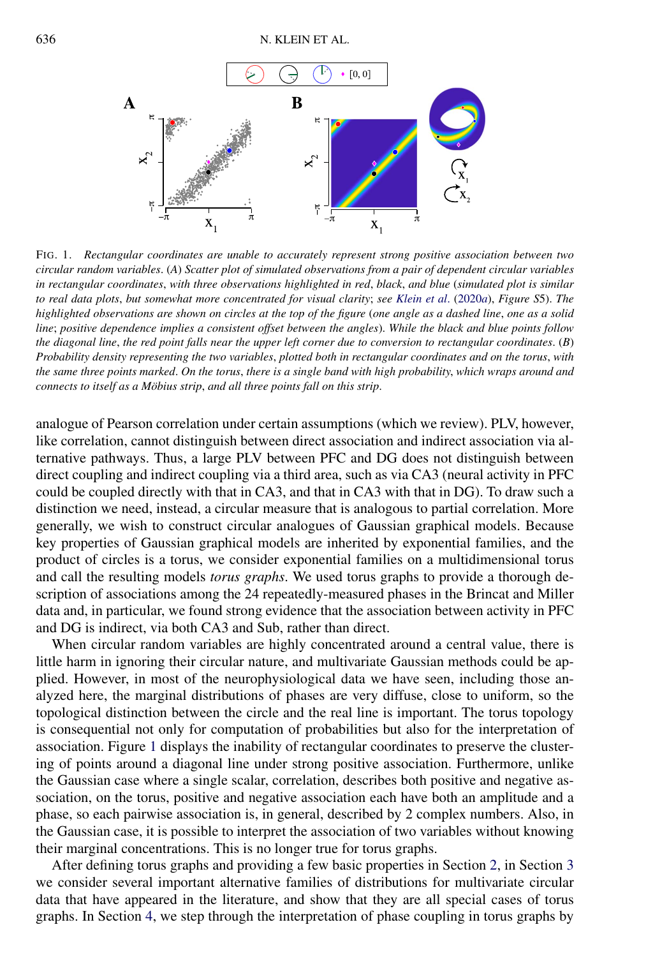

FIG. 1. *Rectangular coordinates are unable to accurately represent strong positive association between two circular random variables*. (*A*) *Scatter plot of simulated observations from a pair of dependent circular variables in rectangular coordinates*, *with three observations highlighted in red*, *black*, *and blue* (*simulated plot is similar to real data plots*, *but somewhat more concentrated for visual clarity*; *see [Klein et al](#page-24-0)*. [\(2020](#page-24-0)*a*), *Figure S*5). *The highlighted observations are shown on circles at the top of the figure* (*one angle as a dashed line*, *one as a solid line*; *positive dependence implies a consistent offset between the angles*). *While the black and blue points follow the diagonal line*, *the red point falls near the upper left corner due to conversion to rectangular coordinates*. (*B*) *Probability density representing the two variables*, *plotted both in rectangular coordinates and on the torus*, *with the same three points marked*. *On the torus*, *there is a single band with high probability*, *which wraps around and connects to itself as a Möbius strip*, *and all three points fall on this strip*.

analogue of Pearson correlation under certain assumptions (which we review). PLV, however, like correlation, cannot distinguish between direct association and indirect association via alternative pathways. Thus, a large PLV between PFC and DG does not distinguish between direct coupling and indirect coupling via a third area, such as via CA3 (neural activity in PFC could be coupled directly with that in CA3, and that in CA3 with that in DG). To draw such a distinction we need, instead, a circular measure that is analogous to partial correlation. More generally, we wish to construct circular analogues of Gaussian graphical models. Because key properties of Gaussian graphical models are inherited by exponential families, and the product of circles is a torus, we consider exponential families on a multidimensional torus and call the resulting models *torus graphs*. We used torus graphs to provide a thorough description of associations among the 24 repeatedly-measured phases in the Brincat and Miller data and, in particular, we found strong evidence that the association between activity in PFC and DG is indirect, via both CA3 and Sub, rather than direct.

When circular random variables are highly concentrated around a central value, there is little harm in ignoring their circular nature, and multivariate Gaussian methods could be applied. However, in most of the neurophysiological data we have seen, including those analyzed here, the marginal distributions of phases are very diffuse, close to uniform, so the topological distinction between the circle and the real line is important. The torus topology is consequential not only for computation of probabilities but also for the interpretation of association. Figure 1 displays the inability of rectangular coordinates to preserve the clustering of points around a diagonal line under strong positive association. Furthermore, unlike the Gaussian case where a single scalar, correlation, describes both positive and negative association, on the torus, positive and negative association each have both an amplitude and a phase, so each pairwise association is, in general, described by 2 complex numbers. Also, in the Gaussian case, it is possible to interpret the association of two variables without knowing their marginal concentrations. This is no longer true for torus graphs.

After defining torus graphs and providing a few basic properties in Section [2,](#page-2-0) in Section [3](#page-5-0) we consider several important alternative families of distributions for multivariate circular data that have appeared in the literature, and show that they are all special cases of torus graphs. In Section [4,](#page-5-0) we step through the interpretation of phase coupling in torus graphs by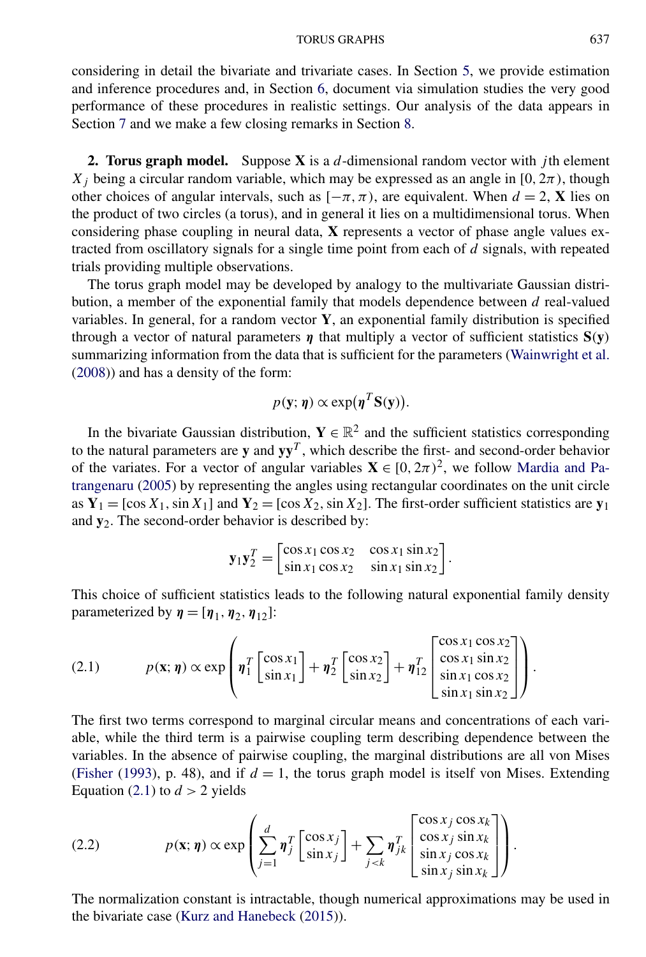<span id="page-2-0"></span>considering in detail the bivariate and trivariate cases. In Section [5,](#page-10-0) we provide estimation and inference procedures and, in Section [6,](#page-13-0) document via simulation studies the very good performance of these procedures in realistic settings. Our analysis of the data appears in Section [7](#page-15-0) and we make a few closing remarks in Section [8.](#page-22-0)

**2. Torus graph model.** Suppose **X** is a *d*-dimensional random vector with *j* th element *X<sub>j</sub>* being a circular random variable, which may be expressed as an angle in [0,  $2\pi$ ), though other choices of angular intervals, such as  $[-\pi, \pi)$ , are equivalent. When  $d = 2$ , **X** lies on the product of two circles (a torus), and in general it lies on a multidimensional torus. When considering phase coupling in neural data, **X** represents a vector of phase angle values extracted from oscillatory signals for a single time point from each of *d* signals, with repeated trials providing multiple observations.

The torus graph model may be developed by analogy to the multivariate Gaussian distribution, a member of the exponential family that models dependence between *d* real-valued variables. In general, for a random vector **Y**, an exponential family distribution is specified through a vector of natural parameters *η* that multiply a vector of sufficient statistics **S***(***y***)* summarizing information from the data that is sufficient for the parameters [\(Wainwright et al.](#page-25-0) [\(2008\)](#page-25-0)) and has a density of the form:

$$
p(\mathbf{y};\boldsymbol{\eta}) \propto \exp(\boldsymbol{\eta}^T \mathbf{S}(\mathbf{y})).
$$

In the bivariate Gaussian distribution,  $Y \in \mathbb{R}^2$  and the sufficient statistics corresponding to the natural parameters are  $y$  and  $yy<sup>T</sup>$ , which describe the first- and second-order behavior of the variates. For a vector of angular variables  $X \in [0, 2\pi)^2$ , we follow [Mardia and Pa](#page-24-0)[trangenaru](#page-24-0) [\(2005\)](#page-24-0) by representing the angles using rectangular coordinates on the unit circle as  $Y_1 = [\cos X_1, \sin X_1]$  and  $Y_2 = [\cos X_2, \sin X_2]$ . The first-order sufficient statistics are  $y_1$ and **y**2. The second-order behavior is described by:

$$
\mathbf{y}_1 \mathbf{y}_2^T = \begin{bmatrix} \cos x_1 \cos x_2 & \cos x_1 \sin x_2 \\ \sin x_1 \cos x_2 & \sin x_1 \sin x_2 \end{bmatrix}.
$$

This choice of sufficient statistics leads to the following natural exponential family density parameterized by  $\eta = [\eta_1, \eta_2, \eta_{12}]$ :

$$
(2.1) \qquad p(\mathbf{x};\boldsymbol{\eta}) \propto \exp\left(\boldsymbol{\eta}_1^T \begin{bmatrix} \cos x_1 \\ \sin x_1 \end{bmatrix} + \boldsymbol{\eta}_2^T \begin{bmatrix} \cos x_2 \\ \sin x_2 \end{bmatrix} + \boldsymbol{\eta}_{12}^T \begin{bmatrix} \cos x_1 \cos x_2 \\ \cos x_1 \sin x_2 \\ \sin x_1 \cos x_2 \\ \sin x_1 \sin x_2 \end{bmatrix}\right).
$$

The first two terms correspond to marginal circular means and concentrations of each variable, while the third term is a pairwise coupling term describing dependence between the variables. In the absence of pairwise coupling, the marginal distributions are all von Mises [\(Fisher](#page-24-0) [\(1993\)](#page-24-0), p. 48), and if  $d = 1$ , the torus graph model is itself von Mises. Extending Equation (2.1) to  $d > 2$  yields

(2.2) 
$$
p(\mathbf{x}; \boldsymbol{\eta}) \propto \exp\left(\sum_{j=1}^{d} \boldsymbol{\eta}_{j}^{T} \begin{bmatrix} \cos x_{j} \\ \sin x_{j} \end{bmatrix} + \sum_{j
$$

The normalization constant is intractable, though numerical approximations may be used in the bivariate case [\(Kurz and Hanebeck](#page-24-0) [\(2015\)](#page-24-0)).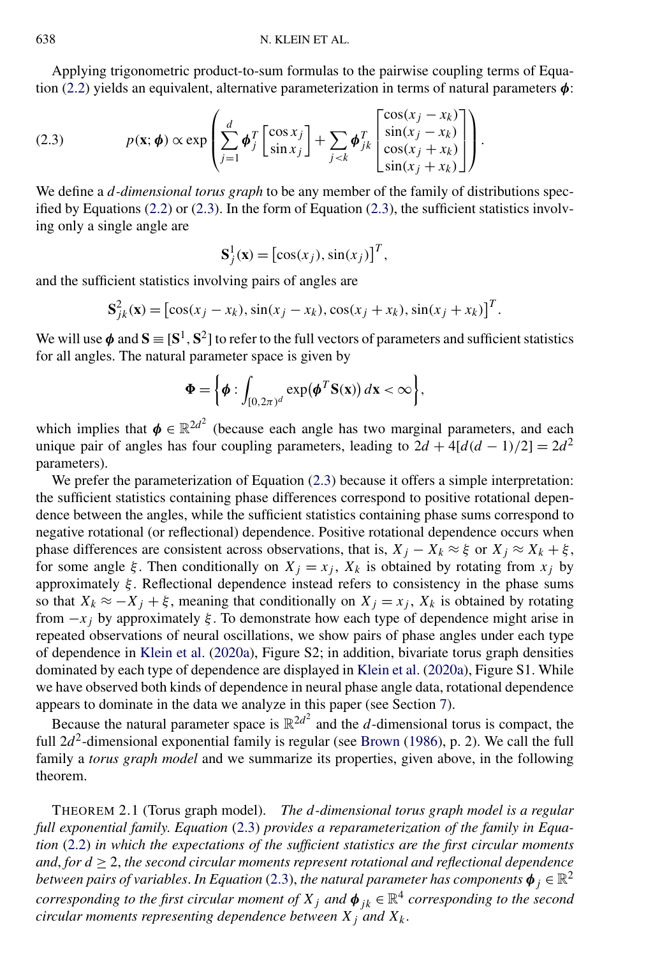<span id="page-3-0"></span>Applying trigonometric product-to-sum formulas to the pairwise coupling terms of Equation [\(2.2\)](#page-2-0) yields an equivalent, alternative parameterization in terms of natural parameters *φ*:

(2.3) 
$$
p(\mathbf{x}; \boldsymbol{\phi}) \propto \exp\left(\sum_{j=1}^{d} \boldsymbol{\phi}_{j}^{T} \begin{bmatrix} \cos x_{j} \\ \sin x_{j} \end{bmatrix} + \sum_{j
$$

We define a *d-dimensional torus graph* to be any member of the family of distributions specified by Equations  $(2.2)$  or  $(2.3)$ . In the form of Equation  $(2.3)$ , the sufficient statistics involving only a single angle are

$$
\mathbf{S}_j^1(\mathbf{x}) = [\cos(x_j), \sin(x_j)]^T,
$$

and the sufficient statistics involving pairs of angles are

$$
\mathbf{S}_{jk}^{2}(\mathbf{x}) = [\cos(x_{j} - x_{k}), \sin(x_{j} - x_{k}), \cos(x_{j} + x_{k}), \sin(x_{j} + x_{k})]^{T}.
$$

We will use  $\phi$  and  $\mathbf{S} \equiv [\mathbf{S}^1, \mathbf{S}^2]$  to refer to the full vectors of parameters and sufficient statistics for all angles. The natural parameter space is given by

$$
\Phi = \left\{ \boldsymbol{\phi} : \int_{[0,2\pi)^d} \exp(\boldsymbol{\phi}^T \mathbf{S}(\mathbf{x})) d\mathbf{x} < \infty \right\},\
$$

which implies that  $\phi \in \mathbb{R}^{2d^2}$  (because each angle has two marginal parameters, and each unique pair of angles has four coupling parameters, leading to  $2d + 4[d(d-1)/2] = 2d^2$ parameters).

We prefer the parameterization of Equation  $(2.3)$  because it offers a simple interpretation: the sufficient statistics containing phase differences correspond to positive rotational dependence between the angles, while the sufficient statistics containing phase sums correspond to negative rotational (or reflectional) dependence. Positive rotational dependence occurs when phase differences are consistent across observations, that is,  $X_j - X_k \approx \xi$  or  $X_j \approx X_k + \xi$ , for some angle *ξ*. Then conditionally on  $X_j = x_j$ ,  $X_k$  is obtained by rotating from  $x_j$  by approximately *ξ* . Reflectional dependence instead refers to consistency in the phase sums so that  $X_k \approx -X_j + \xi$ , meaning that conditionally on  $X_j = x_j$ ,  $X_k$  is obtained by rotating from  $-x_j$  by approximately  $\xi$ . To demonstrate how each type of dependence might arise in repeated observations of neural oscillations, we show pairs of phase angles under each type of dependence in [Klein et al.](#page-24-0) [\(2020a\)](#page-24-0), Figure S2; in addition, bivariate torus graph densities dominated by each type of dependence are displayed in [Klein et al.](#page-24-0) [\(2020a\)](#page-24-0), Figure S1. While we have observed both kinds of dependence in neural phase angle data, rotational dependence appears to dominate in the data we analyze in this paper (see Section [7\)](#page-15-0).

Because the natural parameter space is  $\mathbb{R}^{2d^2}$  and the *d*-dimensional torus is compact, the full  $2d^2$ -dimensional exponential family is regular (see [Brown](#page-23-0) [\(1986\)](#page-23-0), p. 2). We call the full family a *torus graph model* and we summarize its properties, given above, in the following theorem.

THEOREM 2.1 (Torus graph model). *The d-dimensional torus graph model is a regular full exponential family*. *Equation* (2.3) *provides a reparameterization of the family in Equation* [\(2.2\)](#page-2-0) *in which the expectations of the sufficient statistics are the first circular moments and, for*  $d \geq 2$ , *the second circular moments represent rotational and reflectional dependence between pairs of variables. In Equation* (2.3), *the natural parameter has components*  $\phi_j \in \mathbb{R}^2$ *corresponding to the first circular moment of*  $X_j$  *and*  $\phi_{jk} \in \mathbb{R}^4$  *corresponding to the second circular moments representing dependence between*  $X_i$  *and*  $X_k$ .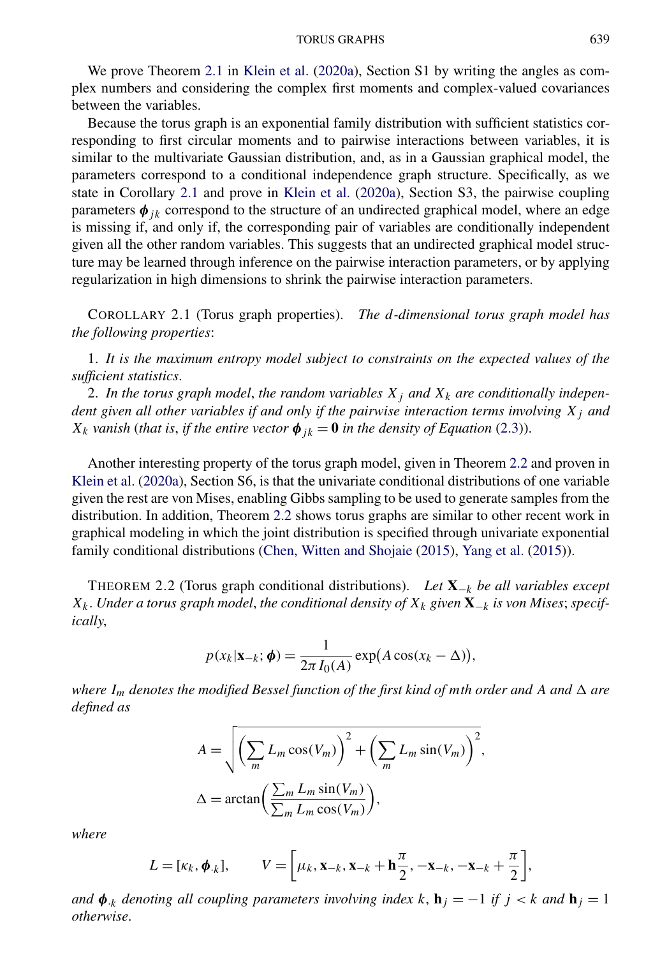<span id="page-4-0"></span>We prove Theorem [2.1](#page-3-0) in [Klein et al.](#page-24-0) [\(2020a\)](#page-24-0), Section S1 by writing the angles as complex numbers and considering the complex first moments and complex-valued covariances between the variables.

Because the torus graph is an exponential family distribution with sufficient statistics corresponding to first circular moments and to pairwise interactions between variables, it is similar to the multivariate Gaussian distribution, and, as in a Gaussian graphical model, the parameters correspond to a conditional independence graph structure. Specifically, as we state in Corollary 2.1 and prove in [Klein et al.](#page-24-0) [\(2020a\)](#page-24-0), Section S3, the pairwise coupling parameters  $\phi_{ik}$  correspond to the structure of an undirected graphical model, where an edge is missing if, and only if, the corresponding pair of variables are conditionally independent given all the other random variables. This suggests that an undirected graphical model structure may be learned through inference on the pairwise interaction parameters, or by applying regularization in high dimensions to shrink the pairwise interaction parameters.

COROLLARY 2.1 (Torus graph properties). *The d-dimensional torus graph model has the following properties*:

1. *It is the maximum entropy model subject to constraints on the expected values of the sufficient statistics*.

2. In the torus graph model, the random variables  $X_j$  and  $X_k$  are conditionally indepen*dent given all other variables if and only if the pairwise interaction terms involving*  $X_i$  *and X<sub>k</sub> vanish* (*that is, if the entire vector*  $\phi_{ik} = 0$  *in the density of Equation* [\(2.3\)](#page-3-0)).

Another interesting property of the torus graph model, given in Theorem 2.2 and proven in [Klein et al.](#page-24-0) [\(2020a\)](#page-24-0), Section S6, is that the univariate conditional distributions of one variable given the rest are von Mises, enabling Gibbs sampling to be used to generate samples from the distribution. In addition, Theorem 2.2 shows torus graphs are similar to other recent work in graphical modeling in which the joint distribution is specified through univariate exponential family conditional distributions [\(Chen, Witten and Shojaie](#page-24-0) [\(2015\)](#page-24-0), [Yang et al.](#page-25-0) [\(2015\)](#page-25-0)).

THEOREM 2.2 (Torus graph conditional distributions). *Let* **X**−*<sup>k</sup> be all variables except*  $X_k$ . *Under a torus graph model, the conditional density of*  $X_k$  *given*  $\mathbf{X}_{-k}$  *is von Mises; specifically*,

$$
p(x_k|\mathbf{x}_{-k};\boldsymbol{\phi}) = \frac{1}{2\pi I_0(A)} \exp(A \cos(x_k - \Delta)),
$$

*where*  $I_m$  *denotes the modified Bessel function of the first kind of mth order and A and*  $\Delta$  *are defined as*

$$
A = \sqrt{\left(\sum_{m} L_m \cos(V_m)\right)^2 + \left(\sum_{m} L_m \sin(V_m)\right)^2},
$$
  

$$
\Delta = \arctan\left(\frac{\sum_{m} L_m \sin(V_m)}{\sum_{m} L_m \cos(V_m)}\right),
$$

*where*

$$
L = [\kappa_k, \boldsymbol{\phi}_{\cdot k}], \qquad V = \left[\mu_k, \mathbf{x}_{-k}, \mathbf{x}_{-k} + \mathbf{h}\frac{\pi}{2}, -\mathbf{x}_{-k}, -\mathbf{x}_{-k} + \frac{\pi}{2}\right],
$$

*and*  $\phi_{k}$  *denoting all coupling parameters involving index k*,  $\mathbf{h}_{j} = -1$  *if*  $j < k$  *and*  $\mathbf{h}_{j} = 1$ *otherwise*.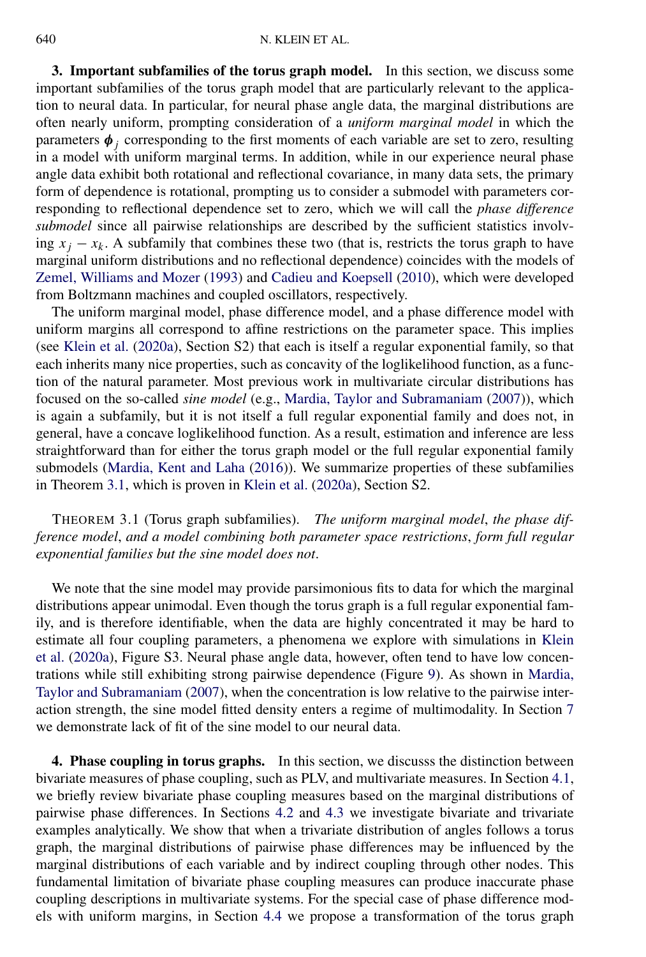<span id="page-5-0"></span>**3. Important subfamilies of the torus graph model.** In this section, we discuss some important subfamilies of the torus graph model that are particularly relevant to the application to neural data. In particular, for neural phase angle data, the marginal distributions are often nearly uniform, prompting consideration of a *uniform marginal model* in which the parameters  $\phi_j$  corresponding to the first moments of each variable are set to zero, resulting in a model with uniform marginal terms. In addition, while in our experience neural phase angle data exhibit both rotational and reflectional covariance, in many data sets, the primary form of dependence is rotational, prompting us to consider a submodel with parameters corresponding to reflectional dependence set to zero, which we will call the *phase difference submodel* since all pairwise relationships are described by the sufficient statistics involving  $x_i - x_k$ . A subfamily that combines these two (that is, restricts the torus graph to have marginal uniform distributions and no reflectional dependence) coincides with the models of [Zemel, Williams and Mozer](#page-25-0) [\(1993\)](#page-25-0) and [Cadieu and Koepsell](#page-24-0) [\(2010\)](#page-24-0), which were developed from Boltzmann machines and coupled oscillators, respectively.

The uniform marginal model, phase difference model, and a phase difference model with uniform margins all correspond to affine restrictions on the parameter space. This implies (see [Klein et al.](#page-24-0) [\(2020a\)](#page-24-0), Section S2) that each is itself a regular exponential family, so that each inherits many nice properties, such as concavity of the loglikelihood function, as a function of the natural parameter. Most previous work in multivariate circular distributions has focused on the so-called *sine model* (e.g., [Mardia, Taylor and Subramaniam](#page-24-0) [\(2007\)](#page-24-0)), which is again a subfamily, but it is not itself a full regular exponential family and does not, in general, have a concave loglikelihood function. As a result, estimation and inference are less straightforward than for either the torus graph model or the full regular exponential family submodels [\(Mardia, Kent and Laha](#page-24-0) [\(2016\)](#page-24-0)). We summarize properties of these subfamilies in Theorem 3.1, which is proven in [Klein et al.](#page-24-0) [\(2020a\)](#page-24-0), Section S2.

# THEOREM 3.1 (Torus graph subfamilies). *The uniform marginal model*, *the phase difference model*, *and a model combining both parameter space restrictions*, *form full regular exponential families but the sine model does not*.

We note that the sine model may provide parsimonious fits to data for which the marginal distributions appear unimodal. Even though the torus graph is a full regular exponential family, and is therefore identifiable, when the data are highly concentrated it may be hard to estimate all four coupling parameters, a phenomena we explore with simulations in [Klein](#page-24-0) [et al.](#page-24-0) [\(2020a\)](#page-24-0), Figure S3. Neural phase angle data, however, often tend to have low concentrations while still exhibiting strong pairwise dependence (Figure [9\)](#page-20-0). As shown in [Mardia,](#page-24-0) [Taylor and Subramaniam](#page-24-0) [\(2007\)](#page-24-0), when the concentration is low relative to the pairwise interaction strength, the sine model fitted density enters a regime of multimodality. In Section [7](#page-15-0) we demonstrate lack of fit of the sine model to our neural data.

**4. Phase coupling in torus graphs.** In this section, we discusss the distinction between bivariate measures of phase coupling, such as PLV, and multivariate measures. In Section [4.1,](#page-6-0) we briefly review bivariate phase coupling measures based on the marginal distributions of pairwise phase differences. In Sections [4.2](#page-6-0) and [4.3](#page-8-0) we investigate bivariate and trivariate examples analytically. We show that when a trivariate distribution of angles follows a torus graph, the marginal distributions of pairwise phase differences may be influenced by the marginal distributions of each variable and by indirect coupling through other nodes. This fundamental limitation of bivariate phase coupling measures can produce inaccurate phase coupling descriptions in multivariate systems. For the special case of phase difference models with uniform margins, in Section [4.4](#page-9-0) we propose a transformation of the torus graph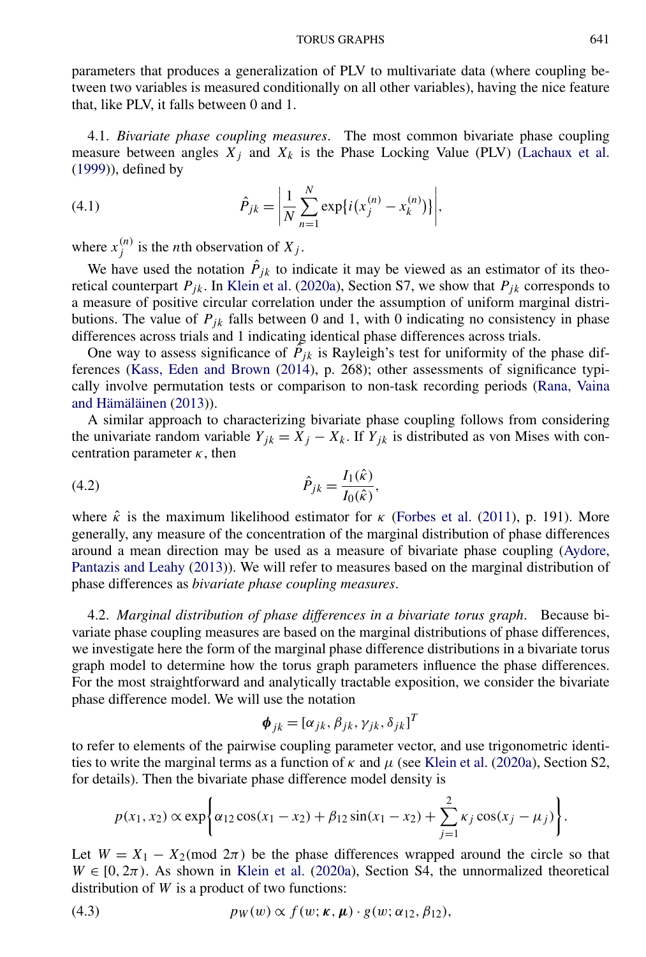<span id="page-6-0"></span>parameters that produces a generalization of PLV to multivariate data (where coupling between two variables is measured conditionally on all other variables), having the nice feature that, like PLV, it falls between 0 and 1.

4.1. *Bivariate phase coupling measures*. The most common bivariate phase coupling measure between angles  $X_i$  and  $X_k$  is the Phase Locking Value (PLV) [\(Lachaux et al.](#page-24-0) [\(1999\)](#page-24-0)), defined by

(4.1) 
$$
\hat{P}_{jk} = \left| \frac{1}{N} \sum_{n=1}^{N} \exp\{i(x_j^{(n)} - x_k^{(n)})\} \right|,
$$

where  $x_j^{(n)}$  is the *n*th observation of  $X_j$ .

We have used the notation  $\hat{P}_{jk}$  to indicate it may be viewed as an estimator of its theoretical counterpart  $P_{jk}$ . In [Klein et al.](#page-24-0) [\(2020a\)](#page-24-0), Section S7, we show that  $P_{jk}$  corresponds to a measure of positive circular correlation under the assumption of uniform marginal distributions. The value of  $P_{jk}$  falls between 0 and 1, with 0 indicating no consistency in phase differences across trials and 1 indicating identical phase differences across trials.

One way to assess significance of  $\tilde{P}_{jk}$  is Rayleigh's test for uniformity of the phase differences [\(Kass, Eden and Brown](#page-24-0) [\(2014\)](#page-24-0), p. 268); other assessments of significance typically involve permutation tests or comparison to non-task recording periods [\(Rana, Vaina](#page-24-0) [and Hämäläinen](#page-24-0) [\(2013\)](#page-24-0)).

A similar approach to characterizing bivariate phase coupling follows from considering the univariate random variable  $Y_{jk} = X_j - X_k$ . If  $Y_{jk}$  is distributed as von Mises with concentration parameter *κ*, then

(4.2) 
$$
\hat{P}_{jk} = \frac{I_1(\hat{\kappa})}{I_0(\hat{\kappa})},
$$

where  $\hat{\kappa}$  is the maximum likelihood estimator for  $\kappa$  [\(Forbes et al.](#page-24-0) [\(2011\)](#page-24-0), p. 191). More generally, any measure of the concentration of the marginal distribution of phase differences around a mean direction may be used as a measure of bivariate phase coupling [\(Aydore,](#page-23-0) [Pantazis and Leahy](#page-23-0) [\(2013\)](#page-23-0)). We will refer to measures based on the marginal distribution of phase differences as *bivariate phase coupling measures*.

4.2. *Marginal distribution of phase differences in a bivariate torus graph*. Because bivariate phase coupling measures are based on the marginal distributions of phase differences, we investigate here the form of the marginal phase difference distributions in a bivariate torus graph model to determine how the torus graph parameters influence the phase differences. For the most straightforward and analytically tractable exposition, we consider the bivariate phase difference model. We will use the notation

$$
\boldsymbol{\phi}_{jk} = [\alpha_{jk}, \beta_{jk}, \gamma_{jk}, \delta_{jk}]^T
$$

to refer to elements of the pairwise coupling parameter vector, and use trigonometric identities to write the marginal terms as a function of  $\kappa$  and  $\mu$  (see [Klein et al.](#page-24-0) [\(2020a\)](#page-24-0), Section S2, for details). Then the bivariate phase difference model density is

$$
p(x_1, x_2) \propto \exp\left\{\alpha_{12} \cos(x_1 - x_2) + \beta_{12} \sin(x_1 - x_2) + \sum_{j=1}^2 \kappa_j \cos(x_j - \mu_j) \right\}.
$$

Let  $W = X_1 - X_2 \pmod{2\pi}$  be the phase differences wrapped around the circle so that  $W \in [0, 2\pi)$ . As shown in [Klein et al.](#page-24-0) [\(2020a\)](#page-24-0), Section S4, the unnormalized theoretical distribution of *W* is a product of two functions:

(4.3) 
$$
p_W(w) \propto f(w; \kappa, \mu) \cdot g(w; \alpha_{12}, \beta_{12}),
$$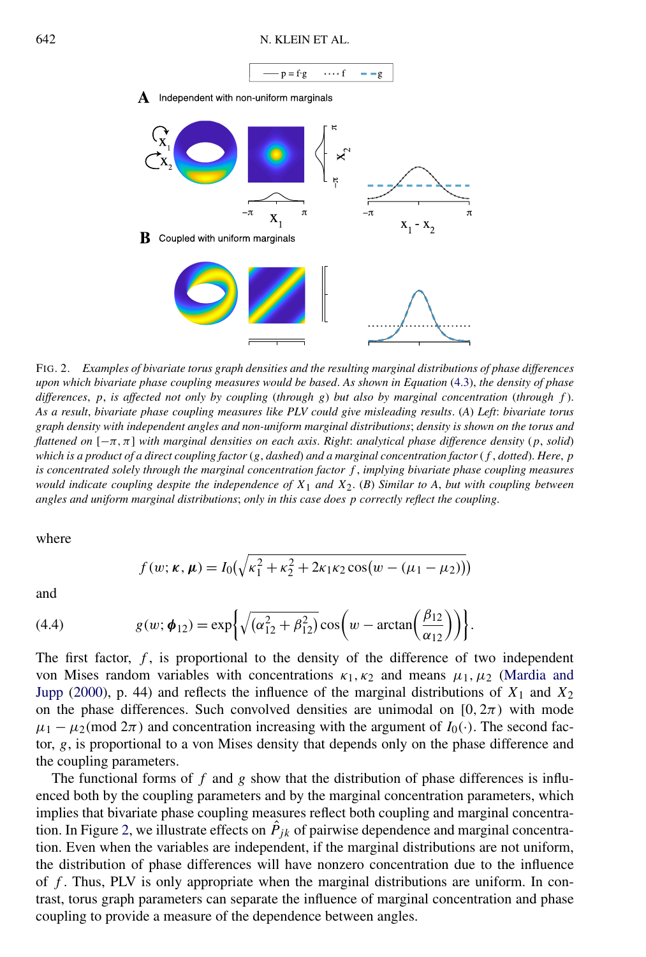<span id="page-7-0"></span>

FIG. 2. *Examples of bivariate torus graph densities and the resulting marginal distributions of phase differences upon which bivariate phase coupling measures would be based*. *As shown in Equation* [\(4.3\)](#page-6-0), *the density of phase differences*, *p*, *is affected not only by coupling* (*through g*) *but also by marginal concentration* (*through f* ). *As a result*, *bivariate phase coupling measures like PLV could give misleading results*. (*A*) *Left*: *bivariate torus graph density with independent angles and non-uniform marginal distributions*; *density is shown on the torus and flattened on* [−*π,π*] *with marginal densities on each axis*. *Right*: *analytical phase difference density* (*p*, *solid*) *which is a product of a direct coupling factor* (*g*, *dashed*) *and a marginal concentration factor* (*f* , *dotted*). *Here*, *p is concentrated solely through the marginal concentration factor f* , *implying bivariate phase coupling measures would indicate coupling despite the independence of X*1 *and X*2. (*B*) *Similar to A*, *but with coupling between angles and uniform marginal distributions*; *only in this case does p correctly reflect the coupling*.

where

$$
f(w; \kappa, \mu) = I_0(\sqrt{\kappa_1^2 + \kappa_2^2 + 2\kappa_1\kappa_2\cos(w - (\mu_1 - \mu_2))})
$$

and

(4.4) 
$$
g(w; \phi_{12}) = \exp\left\{ \sqrt{(\alpha_{12}^2 + \beta_{12}^2)} \cos\left(w - \arctan\left(\frac{\beta_{12}}{\alpha_{12}}\right)\right) \right\}.
$$

The first factor, *f* , is proportional to the density of the difference of two independent von Mises random variables with concentrations *κ*1*,κ*<sup>2</sup> and means *μ*1*,μ*<sup>2</sup> [\(Mardia and](#page-24-0) [Jupp](#page-24-0) [\(2000\)](#page-24-0), p. 44) and reflects the influence of the marginal distributions of  $X_1$  and  $X_2$ on the phase differences. Such convolved densities are unimodal on  $[0, 2\pi)$  with mode  $\mu_1 - \mu_2 \pmod{2\pi}$  and concentration increasing with the argument of  $I_0(\cdot)$ . The second factor, *g*, is proportional to a von Mises density that depends only on the phase difference and the coupling parameters.

The functional forms of *f* and *g* show that the distribution of phase differences is influenced both by the coupling parameters and by the marginal concentration parameters, which implies that bivariate phase coupling measures reflect both coupling and marginal concentration. In Figure 2, we illustrate effects on  $\hat{P}_{jk}$  of pairwise dependence and marginal concentration. Even when the variables are independent, if the marginal distributions are not uniform, the distribution of phase differences will have nonzero concentration due to the influence of *f* . Thus, PLV is only appropriate when the marginal distributions are uniform. In contrast, torus graph parameters can separate the influence of marginal concentration and phase coupling to provide a measure of the dependence between angles.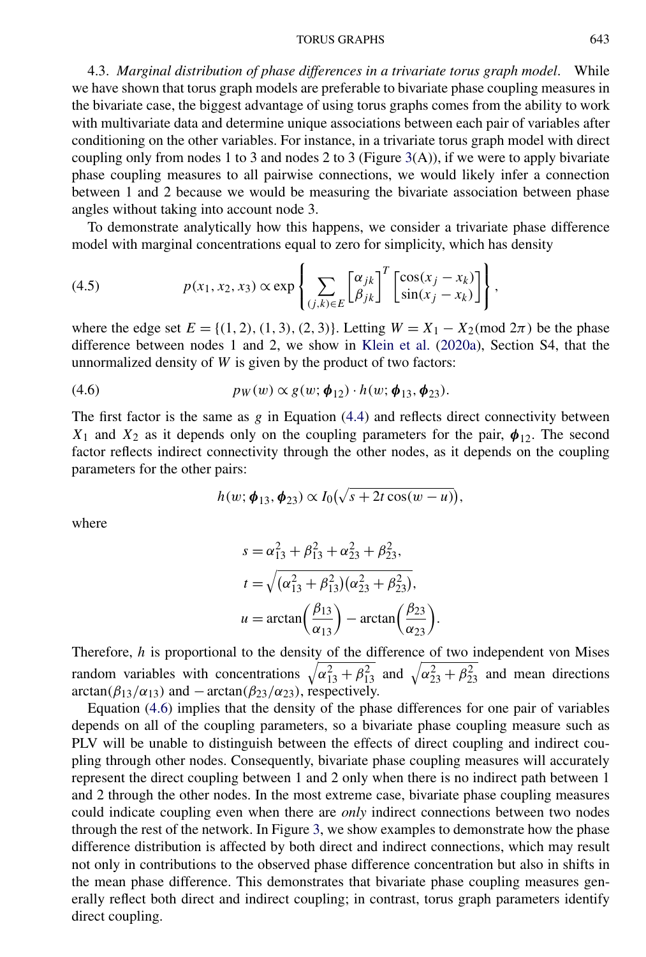#### TORUS GRAPHS 643

<span id="page-8-0"></span>4.3. *Marginal distribution of phase differences in a trivariate torus graph model*. While we have shown that torus graph models are preferable to bivariate phase coupling measures in the bivariate case, the biggest advantage of using torus graphs comes from the ability to work with multivariate data and determine unique associations between each pair of variables after conditioning on the other variables. For instance, in a trivariate torus graph model with direct coupling only from nodes 1 to 3 and nodes 2 to 3 (Figure [3\(](#page-9-0)A)), if we were to apply bivariate phase coupling measures to all pairwise connections, we would likely infer a connection between 1 and 2 because we would be measuring the bivariate association between phase angles without taking into account node 3.

To demonstrate analytically how this happens, we consider a trivariate phase difference model with marginal concentrations equal to zero for simplicity, which has density

(4.5) 
$$
p(x_1, x_2, x_3) \propto \exp\left\{\sum_{(j,k)\in E} \begin{bmatrix} \alpha_{jk} \\ \beta_{jk} \end{bmatrix}^T \begin{bmatrix} \cos(x_j - x_k) \\ \sin(x_j - x_k) \end{bmatrix} \right\},
$$

where the edge set  $E = \{(1, 2), (1, 3), (2, 3)\}$ . Letting  $W = X_1 - X_2 \text{ (mod } 2\pi)$  be the phase difference between nodes 1 and 2, we show in [Klein et al.](#page-24-0) [\(2020a\)](#page-24-0), Section S4, that the unnormalized density of *W* is given by the product of two factors:

$$
(4.6) \t\t p_W(w) \propto g(w; \phi_{12}) \cdot h(w; \phi_{13}, \phi_{23}).
$$

The first factor is the same as *g* in Equation [\(4.4\)](#page-7-0) and reflects direct connectivity between  $X_1$  and  $X_2$  as it depends only on the coupling parameters for the pair,  $\phi_{12}$ . The second factor reflects indirect connectivity through the other nodes, as it depends on the coupling parameters for the other pairs:

$$
h(w; \boldsymbol{\phi}_{13}, \boldsymbol{\phi}_{23}) \propto I_0(\sqrt{s+2t\cos(w-u)}),
$$

where

$$
s = \alpha_{13}^2 + \beta_{13}^2 + \alpha_{23}^2 + \beta_{23}^2,
$$
  
\n
$$
t = \sqrt{(\alpha_{13}^2 + \beta_{13}^2)(\alpha_{23}^2 + \beta_{23}^2)},
$$
  
\n
$$
u = \arctan\left(\frac{\beta_{13}}{\alpha_{13}}\right) - \arctan\left(\frac{\beta_{23}}{\alpha_{23}}\right)
$$

Therefore, *h* is proportional to the density of the difference of two independent von Mises random variables with concentrations  $\sqrt{\alpha_{13}^2 + \beta_{13}^2}$  and  $\sqrt{\alpha_{23}^2 + \beta_{23}^2}$  and mean directions  $\arctan(\beta_{13}/\alpha_{13})$  and  $-\arctan(\beta_{23}/\alpha_{23})$ , respectively.

*.*

Equation (4.6) implies that the density of the phase differences for one pair of variables depends on all of the coupling parameters, so a bivariate phase coupling measure such as PLV will be unable to distinguish between the effects of direct coupling and indirect coupling through other nodes. Consequently, bivariate phase coupling measures will accurately represent the direct coupling between 1 and 2 only when there is no indirect path between 1 and 2 through the other nodes. In the most extreme case, bivariate phase coupling measures could indicate coupling even when there are *only* indirect connections between two nodes through the rest of the network. In Figure [3,](#page-9-0) we show examples to demonstrate how the phase difference distribution is affected by both direct and indirect connections, which may result not only in contributions to the observed phase difference concentration but also in shifts in the mean phase difference. This demonstrates that bivariate phase coupling measures generally reflect both direct and indirect coupling; in contrast, torus graph parameters identify direct coupling.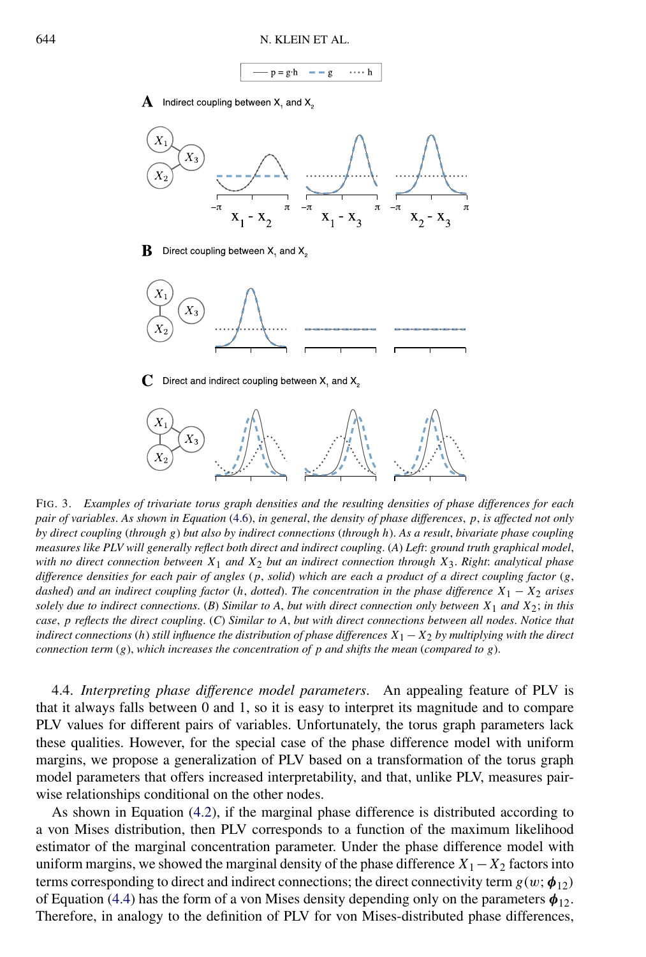$g$  $p = g \cdot h$  $\cdots$  h

 ${\bf A}$  Indirect coupling between X, and X,

<span id="page-9-0"></span>

FIG. 3. *Examples of trivariate torus graph densities and the resulting densities of phase differences for each pair of variables*. *As shown in Equation* [\(4.6\)](#page-8-0), *in general*, *the density of phase differences*, *p*, *is affected not only by direct coupling* (*through g*) *but also by indirect connections* (*through h*). *As a result*, *bivariate phase coupling measures like PLV will generally reflect both direct and indirect coupling*. (*A*) *Left*: *ground truth graphical model*, *with no direct connection between X*1 *and X*2 *but an indirect connection through X*3. *Right*: *analytical phase difference densities for each pair of angles* (*p*, *solid*) *which are each a product of a direct coupling factor* (*g*, *dashed*) *and an indirect coupling factor* (*h*, *dotted*). *The concentration in the phase difference*  $X_1 - X_2$  *arises solely due to indirect connections.* (*B*) *Similar to A, but with direct connection only between*  $X_1$  *and*  $X_2$ ; *in this case*, *p reflects the direct coupling*. (*C*) *Similar to A*, *but with direct connections between all nodes*. *Notice that indirect connections* (*h*) *still influence the distribution of phase differences X*<sup>1</sup> −*X*<sup>2</sup> *by multiplying with the direct connection term* (*g*), *which increases the concentration of p and shifts the mean* (*compared to g*).

4.4. *Interpreting phase difference model parameters*. An appealing feature of PLV is that it always falls between 0 and 1, so it is easy to interpret its magnitude and to compare PLV values for different pairs of variables. Unfortunately, the torus graph parameters lack these qualities. However, for the special case of the phase difference model with uniform margins, we propose a generalization of PLV based on a transformation of the torus graph model parameters that offers increased interpretability, and that, unlike PLV, measures pairwise relationships conditional on the other nodes.

As shown in Equation [\(4.2\)](#page-6-0), if the marginal phase difference is distributed according to a von Mises distribution, then PLV corresponds to a function of the maximum likelihood estimator of the marginal concentration parameter. Under the phase difference model with uniform margins, we showed the marginal density of the phase difference  $X_1 - X_2$  factors into terms corresponding to direct and indirect connections; the direct connectivity term  $g(w; \phi_{12})$ of Equation [\(4.4\)](#page-7-0) has the form of a von Mises density depending only on the parameters  $\phi_{12}$ . Therefore, in analogy to the definition of PLV for von Mises-distributed phase differences,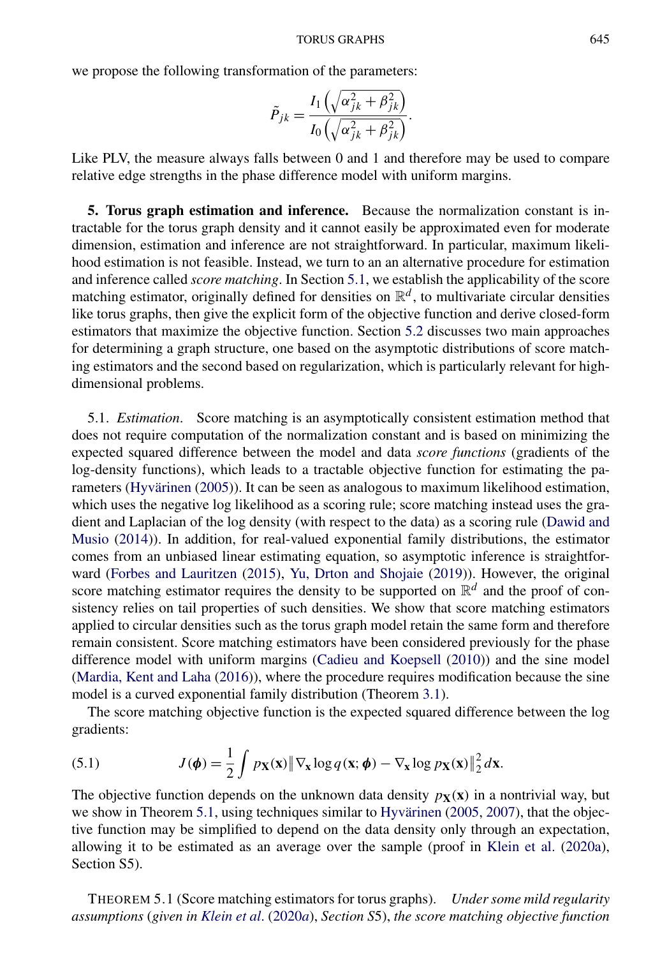#### TORUS GRAPHS 645

<span id="page-10-0"></span>we propose the following transformation of the parameters:

$$
\tilde{P}_{jk} = \frac{I_1\left(\sqrt{\alpha_{jk}^2 + \beta_{jk}^2}\right)}{I_0\left(\sqrt{\alpha_{jk}^2 + \beta_{jk}^2}\right)}.
$$

Like PLV, the measure always falls between 0 and 1 and therefore may be used to compare relative edge strengths in the phase difference model with uniform margins.

**5. Torus graph estimation and inference.** Because the normalization constant is intractable for the torus graph density and it cannot easily be approximated even for moderate dimension, estimation and inference are not straightforward. In particular, maximum likelihood estimation is not feasible. Instead, we turn to an an alternative procedure for estimation and inference called *score matching*. In Section 5.1, we establish the applicability of the score matching estimator, originally defined for densities on  $\mathbb{R}^d$ , to multivariate circular densities like torus graphs, then give the explicit form of the objective function and derive closed-form estimators that maximize the objective function. Section [5.2](#page-12-0) discusses two main approaches for determining a graph structure, one based on the asymptotic distributions of score matching estimators and the second based on regularization, which is particularly relevant for highdimensional problems.

5.1. *Estimation*. Score matching is an asymptotically consistent estimation method that does not require computation of the normalization constant and is based on minimizing the expected squared difference between the model and data *score functions* (gradients of the log-density functions), which leads to a tractable objective function for estimating the parameters [\(Hyvärinen](#page-24-0) [\(2005\)](#page-24-0)). It can be seen as analogous to maximum likelihood estimation, which uses the negative log likelihood as a scoring rule; score matching instead uses the gradient and Laplacian of the log density (with respect to the data) as a scoring rule [\(Dawid and](#page-24-0) [Musio](#page-24-0) [\(2014\)](#page-24-0)). In addition, for real-valued exponential family distributions, the estimator comes from an unbiased linear estimating equation, so asymptotic inference is straightforward [\(Forbes and Lauritzen](#page-24-0) [\(2015\)](#page-24-0), [Yu, Drton and Shojaie](#page-25-0) [\(2019\)](#page-25-0)). However, the original score matching estimator requires the density to be supported on  $\mathbb{R}^d$  and the proof of consistency relies on tail properties of such densities. We show that score matching estimators applied to circular densities such as the torus graph model retain the same form and therefore remain consistent. Score matching estimators have been considered previously for the phase difference model with uniform margins [\(Cadieu and Koepsell](#page-24-0) [\(2010\)](#page-24-0)) and the sine model [\(Mardia, Kent and Laha](#page-24-0) [\(2016\)](#page-24-0)), where the procedure requires modification because the sine model is a curved exponential family distribution (Theorem [3.1\)](#page-5-0).

The score matching objective function is the expected squared difference between the log gradients:

(5.1) 
$$
J(\boldsymbol{\phi}) = \frac{1}{2} \int p_{\mathbf{X}}(\mathbf{x}) \|\nabla_{\mathbf{x}} \log q(\mathbf{x}; \boldsymbol{\phi}) - \nabla_{\mathbf{x}} \log p_{\mathbf{X}}(\mathbf{x})\|_2^2 d\mathbf{x}.
$$

The objective function depends on the unknown data density  $p_X(x)$  in a nontrivial way, but we show in Theorem 5.1, using techniques similar to [Hyvärinen](#page-24-0) [\(2005,](#page-24-0) [2007\)](#page-24-0), that the objective function may be simplified to depend on the data density only through an expectation, allowing it to be estimated as an average over the sample (proof in [Klein et al.](#page-24-0) [\(2020a\)](#page-24-0), Section S5).

THEOREM 5.1 (Score matching estimators for torus graphs). *Under some mild regularity assumptions* (*given in [Klein et al](#page-24-0)*. [\(2020](#page-24-0)*a*), *Section S*5), *the score matching objective function*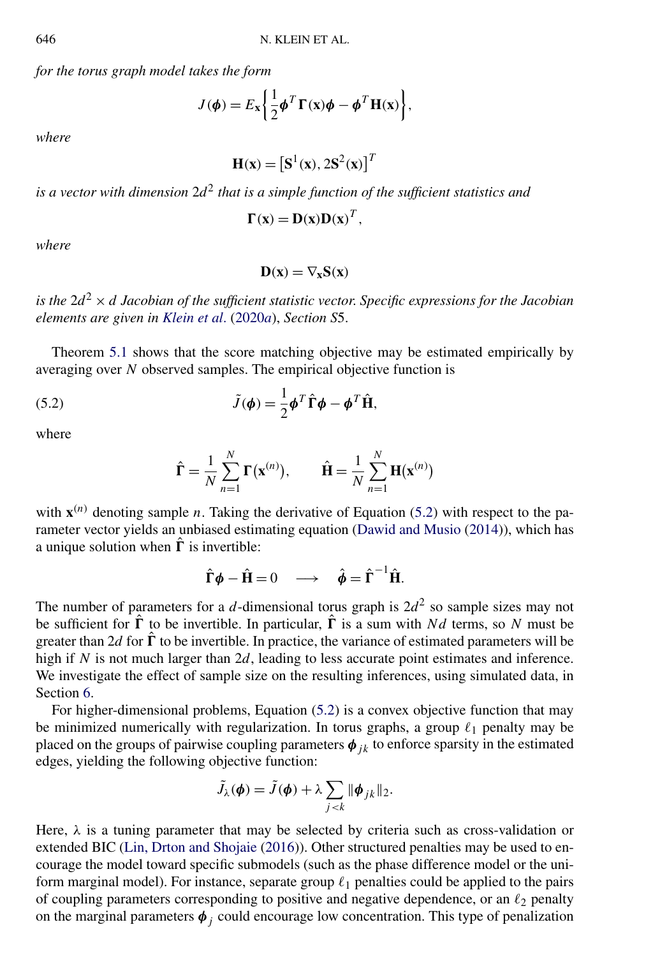*for the torus graph model takes the form*

$$
J(\boldsymbol{\phi}) = E_{\mathbf{x}} \left\{ \frac{1}{2} \boldsymbol{\phi}^T \boldsymbol{\Gamma}(\mathbf{x}) \boldsymbol{\phi} - \boldsymbol{\phi}^T \mathbf{H}(\mathbf{x}) \right\},\
$$

*where*

$$
\mathbf{H}(\mathbf{x}) = [\mathbf{S}^1(\mathbf{x}), 2\mathbf{S}^2(\mathbf{x})]^T
$$

*is a vector with dimension* 2*d*<sup>2</sup> *that is a simple function of the sufficient statistics and*

$$
\Gamma(x) = D(x)D(x)^T,
$$

*where*

$$
D(x)=\nabla_x S(x)
$$

*is the* 2*d*<sup>2</sup> × *d Jacobian of the sufficient statistic vector*. *Specific expressions for the Jacobian elements are given in [Klein et al](#page-24-0)*. [\(2020](#page-24-0)*a*), *Section S*5.

Theorem [5.1](#page-10-0) shows that the score matching objective may be estimated empirically by averaging over *N* observed samples. The empirical objective function is

(5.2) 
$$
\tilde{J}(\boldsymbol{\phi}) = \frac{1}{2} \boldsymbol{\phi}^T \hat{\boldsymbol{\Gamma}} \boldsymbol{\phi} - \boldsymbol{\phi}^T \hat{\boldsymbol{\Pi}},
$$

where

$$
\hat{\mathbf{\Gamma}} = \frac{1}{N} \sum_{n=1}^{N} \mathbf{\Gamma}(\mathbf{x}^{(n)}), \qquad \hat{\mathbf{H}} = \frac{1}{N} \sum_{n=1}^{N} \mathbf{H}(\mathbf{x}^{(n)})
$$

with  $\mathbf{x}^{(n)}$  denoting sample *n*. Taking the derivative of Equation (5.2) with respect to the parameter vector yields an unbiased estimating equation [\(Dawid and Musio](#page-24-0) [\(2014\)](#page-24-0)), which has a unique solution when  $\hat{\mathbf{\Gamma}}$  is invertible:

$$
\hat{\Gamma}\phi - \hat{H} = 0 \quad \longrightarrow \quad \hat{\phi} = \hat{\Gamma}^{-1}\hat{H}.
$$

The number of parameters for a *d*-dimensional torus graph is  $2d^2$  so sample sizes may not be sufficient for  $\hat{\Gamma}$  to be invertible. In particular,  $\hat{\Gamma}$  is a sum with *Nd* terms, so *N* must be greater than 2*d* for  $\hat{\Gamma}$  to be invertible. In practice, the variance of estimated parameters will be high if *N* is not much larger than 2*d*, leading to less accurate point estimates and inference. We investigate the effect of sample size on the resulting inferences, using simulated data, in Section [6.](#page-13-0)

For higher-dimensional problems, Equation (5.2) is a convex objective function that may be minimized numerically with regularization. In torus graphs, a group  $\ell_1$  penalty may be placed on the groups of pairwise coupling parameters  $\phi_{ik}$  to enforce sparsity in the estimated edges, yielding the following objective function:

$$
\tilde{J}_{\lambda}(\boldsymbol{\phi}) = \tilde{J}(\boldsymbol{\phi}) + \lambda \sum_{j < k} \|\boldsymbol{\phi}_{jk}\|_2.
$$

Here,  $\lambda$  is a tuning parameter that may be selected by criteria such as cross-validation or extended BIC [\(Lin, Drton and Shojaie](#page-24-0) [\(2016\)](#page-24-0)). Other structured penalties may be used to encourage the model toward specific submodels (such as the phase difference model or the uniform marginal model). For instance, separate group <sup>1</sup> penalties could be applied to the pairs of coupling parameters corresponding to positive and negative dependence, or an <sup>2</sup> penalty on the marginal parameters  $\phi_j$  could encourage low concentration. This type of penalization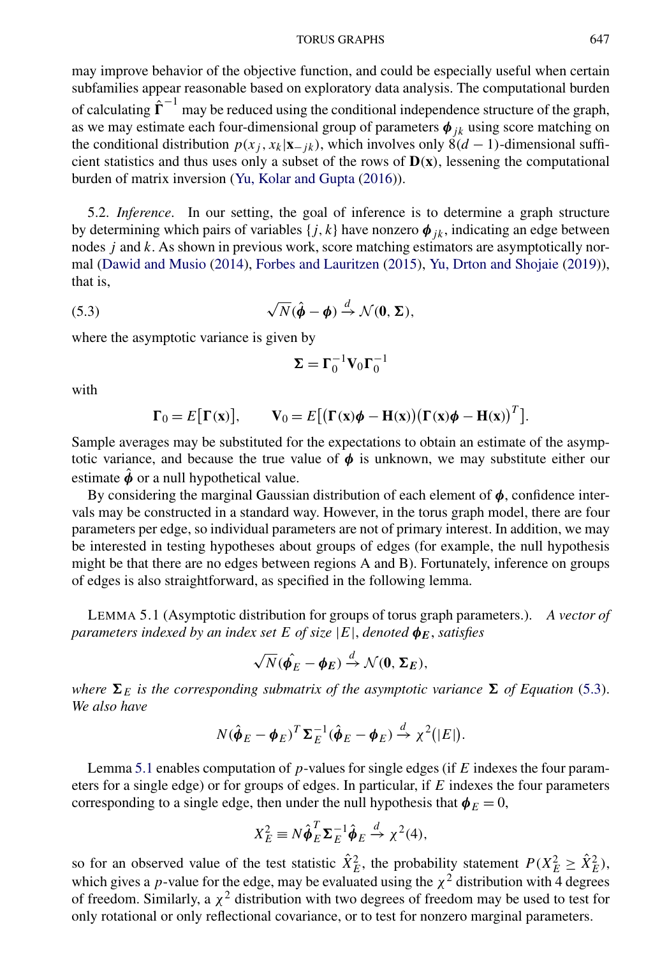#### TORUS GRAPHS 647

<span id="page-12-0"></span>may improve behavior of the objective function, and could be especially useful when certain subfamilies appear reasonable based on exploratory data analysis. The computational burden of calculating  $\hat{\Gamma}^{-1}$  may be reduced using the conditional independence structure of the graph, as we may estimate each four-dimensional group of parameters  $\phi_{jk}$  using score matching on the conditional distribution  $p(x_j, x_k|\mathbf{x}_{-jk})$ , which involves only  $\dot{8}(d-1)$ -dimensional sufficient statistics and thus uses only a subset of the rows of  $D(x)$ , lessening the computational burden of matrix inversion [\(Yu, Kolar and Gupta](#page-25-0) [\(2016\)](#page-25-0)).

5.2. *Inference*. In our setting, the goal of inference is to determine a graph structure by determining which pairs of variables  $\{j, k\}$  have nonzero  $\phi_{jk}$ , indicating an edge between nodes *j* and *k*. As shown in previous work, score matching estimators are asymptotically normal [\(Dawid and Musio](#page-24-0) [\(2014\)](#page-24-0), [Forbes and Lauritzen](#page-24-0) [\(2015\)](#page-24-0), [Yu, Drton and Shojaie](#page-25-0) [\(2019\)](#page-25-0)), that is,

(5.3) 
$$
\sqrt{N}(\hat{\phi} - \phi) \stackrel{d}{\rightarrow} \mathcal{N}(\mathbf{0}, \Sigma),
$$

where the asymptotic variance is given by

$$
\pmb{\Sigma} = \pmb{\Gamma}_0^{-1} \pmb{V}_0 \pmb{\Gamma}_0^{-1}
$$

with

$$
\Gamma_0 = E[\Gamma(\mathbf{x})], \qquad \mathbf{V}_0 = E[(\Gamma(\mathbf{x})\boldsymbol{\phi} - \mathbf{H}(\mathbf{x}))(\Gamma(\mathbf{x})\boldsymbol{\phi} - \mathbf{H}(\mathbf{x}))^T].
$$

Sample averages may be substituted for the expectations to obtain an estimate of the asymptotic variance, and because the true value of  $\phi$  is unknown, we may substitute either our estimate  $\hat{\phi}$  or a null hypothetical value.

By considering the marginal Gaussian distribution of each element of  $\phi$ , confidence intervals may be constructed in a standard way. However, in the torus graph model, there are four parameters per edge, so individual parameters are not of primary interest. In addition, we may be interested in testing hypotheses about groups of edges (for example, the null hypothesis might be that there are no edges between regions A and B). Fortunately, inference on groups of edges is also straightforward, as specified in the following lemma.

LEMMA 5.1 (Asymptotic distribution for groups of torus graph parameters.). *A vector of parameters indexed by an index set*  $E$  *of size*  $|E|$ *, denoted*  $\phi_E$ *, satisfies* 

$$
\sqrt{N}(\hat{\phi_E} - \phi_E) \stackrel{d}{\rightarrow} \mathcal{N}(0, \Sigma_E),
$$

*where*  $\Sigma_E$  *is the corresponding submatrix of the asymptotic variance*  $\Sigma$  *of Equation* (5.3). *We also have*

$$
N(\hat{\boldsymbol{\phi}}_E - \boldsymbol{\phi}_E)^T \boldsymbol{\Sigma}_E^{-1}(\hat{\boldsymbol{\phi}}_E - \boldsymbol{\phi}_E) \stackrel{d}{\rightarrow} \chi^2(|E|).
$$

Lemma 5.1 enables computation of *p*-values for single edges (if *E* indexes the four parameters for a single edge) or for groups of edges. In particular, if *E* indexes the four parameters corresponding to a single edge, then under the null hypothesis that  $\phi_E = 0$ ,

$$
X_E^2 \equiv N \hat{\phi}_E^T \Sigma_E^{-1} \hat{\phi}_E \stackrel{d}{\rightarrow} \chi^2(4),
$$

so for an observed value of the test statistic  $\hat{X}_E^2$ , the probability statement  $P(X_E^2 \ge \hat{X}_E^2)$ , which gives a *p*-value for the edge, may be evaluated using the  $\chi^2$  distribution with 4 degrees of freedom. Similarly, a  $\chi^2$  distribution with two degrees of freedom may be used to test for only rotational or only reflectional covariance, or to test for nonzero marginal parameters.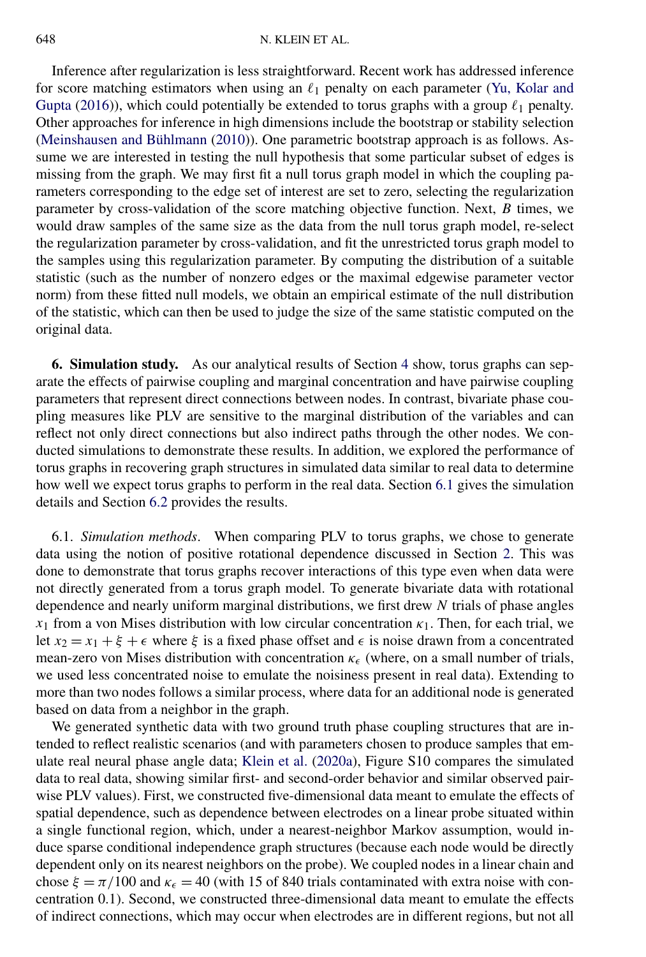<span id="page-13-0"></span>Inference after regularization is less straightforward. Recent work has addressed inference for score matching estimators when using an  $\ell_1$  penalty on each parameter [\(Yu, Kolar and](#page-25-0) [Gupta](#page-25-0) [\(2016\)](#page-25-0)), which could potentially be extended to torus graphs with a group  $\ell_1$  penalty. Other approaches for inference in high dimensions include the bootstrap or stability selection [\(Meinshausen and Bühlmann](#page-24-0) [\(2010\)](#page-24-0)). One parametric bootstrap approach is as follows. Assume we are interested in testing the null hypothesis that some particular subset of edges is missing from the graph. We may first fit a null torus graph model in which the coupling parameters corresponding to the edge set of interest are set to zero, selecting the regularization parameter by cross-validation of the score matching objective function. Next, *B* times, we would draw samples of the same size as the data from the null torus graph model, re-select the regularization parameter by cross-validation, and fit the unrestricted torus graph model to the samples using this regularization parameter. By computing the distribution of a suitable statistic (such as the number of nonzero edges or the maximal edgewise parameter vector norm) from these fitted null models, we obtain an empirical estimate of the null distribution of the statistic, which can then be used to judge the size of the same statistic computed on the original data.

**6. Simulation study.** As our analytical results of Section [4](#page-5-0) show, torus graphs can separate the effects of pairwise coupling and marginal concentration and have pairwise coupling parameters that represent direct connections between nodes. In contrast, bivariate phase coupling measures like PLV are sensitive to the marginal distribution of the variables and can reflect not only direct connections but also indirect paths through the other nodes. We conducted simulations to demonstrate these results. In addition, we explored the performance of torus graphs in recovering graph structures in simulated data similar to real data to determine how well we expect torus graphs to perform in the real data. Section 6.1 gives the simulation details and Section [6.2](#page-14-0) provides the results.

6.1. *Simulation methods*. When comparing PLV to torus graphs, we chose to generate data using the notion of positive rotational dependence discussed in Section [2.](#page-2-0) This was done to demonstrate that torus graphs recover interactions of this type even when data were not directly generated from a torus graph model. To generate bivariate data with rotational dependence and nearly uniform marginal distributions, we first drew *N* trials of phase angles *x*<sub>1</sub> from a von Mises distribution with low circular concentration  $\kappa_1$ . Then, for each trial, we let  $x_2 = x_1 + \xi + \epsilon$  where  $\xi$  is a fixed phase offset and  $\epsilon$  is noise drawn from a concentrated mean-zero von Mises distribution with concentration  $κ_ε$  (where, on a small number of trials, we used less concentrated noise to emulate the noisiness present in real data). Extending to more than two nodes follows a similar process, where data for an additional node is generated based on data from a neighbor in the graph.

We generated synthetic data with two ground truth phase coupling structures that are intended to reflect realistic scenarios (and with parameters chosen to produce samples that emulate real neural phase angle data; [Klein et al.](#page-24-0) [\(2020a\)](#page-24-0), Figure S10 compares the simulated data to real data, showing similar first- and second-order behavior and similar observed pairwise PLV values). First, we constructed five-dimensional data meant to emulate the effects of spatial dependence, such as dependence between electrodes on a linear probe situated within a single functional region, which, under a nearest-neighbor Markov assumption, would induce sparse conditional independence graph structures (because each node would be directly dependent only on its nearest neighbors on the probe). We coupled nodes in a linear chain and chose  $\xi = \frac{\pi}{100}$  and  $\kappa_{\epsilon} = 40$  (with 15 of 840 trials contaminated with extra noise with concentration 0.1). Second, we constructed three-dimensional data meant to emulate the effects of indirect connections, which may occur when electrodes are in different regions, but not all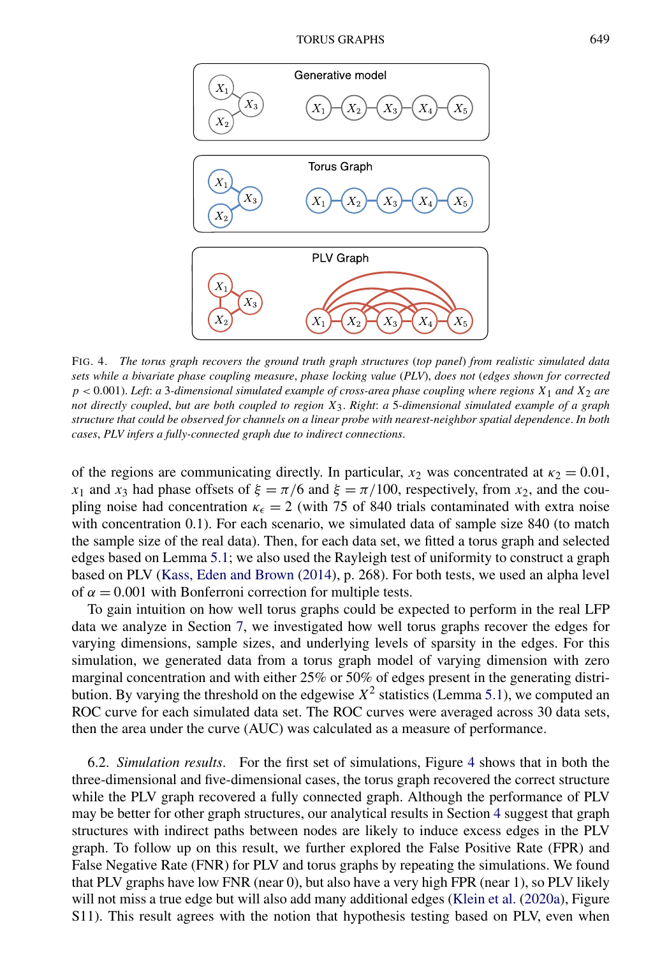<span id="page-14-0"></span>

FIG. 4. *The torus graph recovers the ground truth graph structures* (*top panel*) *from realistic simulated data sets while a bivariate phase coupling measure*, *phase locking value* (*PLV*), *does not* (*edges shown for corrected p <* 0*.*001). *Left*: *a* 3*-dimensional simulated example of cross-area phase coupling where regions X*1 *and X*2 *are not directly coupled*, *but are both coupled to region X*3. *Right*: *a* 5*-dimensional simulated example of a graph structure that could be observed for channels on a linear probe with nearest-neighbor spatial dependence*. *In both cases*, *PLV infers a fully-connected graph due to indirect connections*.

of the regions are communicating directly. In particular,  $x_2$  was concentrated at  $\kappa_2 = 0.01$ , *x*<sub>1</sub> and *x*<sub>3</sub> had phase offsets of  $\xi = \pi/6$  and  $\xi = \pi/100$ , respectively, from *x*<sub>2</sub>, and the coupling noise had concentration  $\kappa_{\epsilon} = 2$  (with 75 of 840 trials contaminated with extra noise with concentration 0.1). For each scenario, we simulated data of sample size 840 (to match the sample size of the real data). Then, for each data set, we fitted a torus graph and selected edges based on Lemma [5.1;](#page-12-0) we also used the Rayleigh test of uniformity to construct a graph based on PLV [\(Kass, Eden and Brown](#page-24-0) [\(2014\)](#page-24-0), p. 268). For both tests, we used an alpha level of  $\alpha = 0.001$  with Bonferroni correction for multiple tests.

To gain intuition on how well torus graphs could be expected to perform in the real LFP data we analyze in Section [7,](#page-15-0) we investigated how well torus graphs recover the edges for varying dimensions, sample sizes, and underlying levels of sparsity in the edges. For this simulation, we generated data from a torus graph model of varying dimension with zero marginal concentration and with either 25% or 50% of edges present in the generating distribution. By varying the threshold on the edgewise  $X^2$  statistics (Lemma [5.1\)](#page-12-0), we computed an ROC curve for each simulated data set. The ROC curves were averaged across 30 data sets, then the area under the curve (AUC) was calculated as a measure of performance.

6.2. *Simulation results*. For the first set of simulations, Figure 4 shows that in both the three-dimensional and five-dimensional cases, the torus graph recovered the correct structure while the PLV graph recovered a fully connected graph. Although the performance of PLV may be better for other graph structures, our analytical results in Section [4](#page-5-0) suggest that graph structures with indirect paths between nodes are likely to induce excess edges in the PLV graph. To follow up on this result, we further explored the False Positive Rate (FPR) and False Negative Rate (FNR) for PLV and torus graphs by repeating the simulations. We found that PLV graphs have low FNR (near 0), but also have a very high FPR (near 1), so PLV likely will not miss a true edge but will also add many additional edges [\(Klein et al.](#page-24-0) [\(2020a\)](#page-24-0), Figure S11). This result agrees with the notion that hypothesis testing based on PLV, even when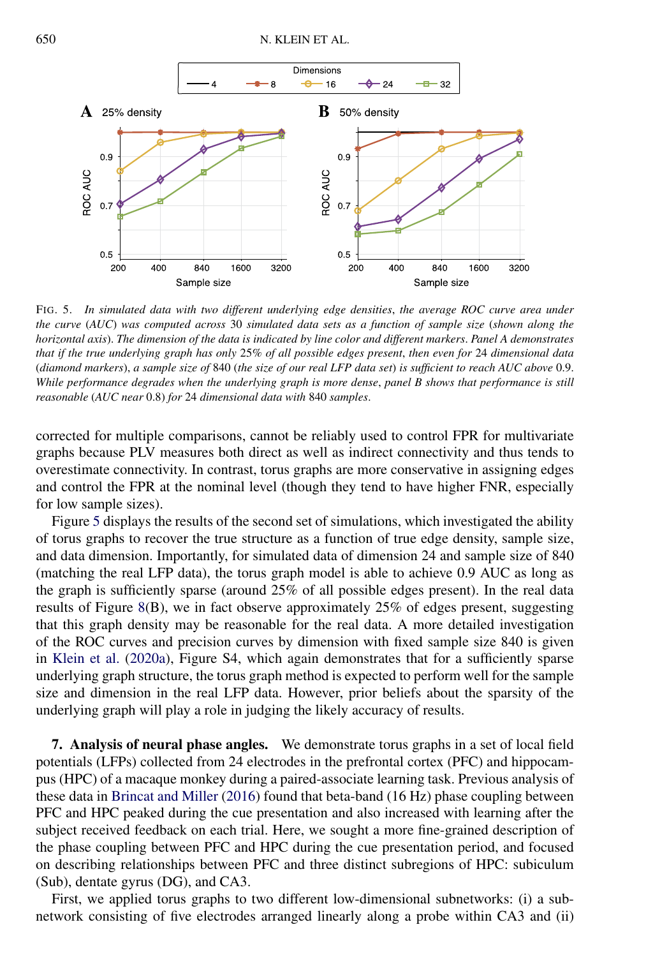<span id="page-15-0"></span>

FIG. 5. *In simulated data with two different underlying edge densities*, *the average ROC curve area under the curve* (*AUC*) *was computed across* 30 *simulated data sets as a function of sample size* (*shown along the horizontal axis*). *The dimension of the data is indicated by line color and different markers*. *Panel A demonstrates that if the true underlying graph has only* 25*% of all possible edges present*, *then even for* 24 *dimensional data* (*diamond markers*), *a sample size of* 840 (*the size of our real LFP data set*) *is sufficient to reach AUC above* 0.9. *While performance degrades when the underlying graph is more dense*, *panel B shows that performance is still reasonable* (*AUC near* 0.8) *for* 24 *dimensional data with* 840 *samples*.

corrected for multiple comparisons, cannot be reliably used to control FPR for multivariate graphs because PLV measures both direct as well as indirect connectivity and thus tends to overestimate connectivity. In contrast, torus graphs are more conservative in assigning edges and control the FPR at the nominal level (though they tend to have higher FNR, especially for low sample sizes).

Figure 5 displays the results of the second set of simulations, which investigated the ability of torus graphs to recover the true structure as a function of true edge density, sample size, and data dimension. Importantly, for simulated data of dimension 24 and sample size of 840 (matching the real LFP data), the torus graph model is able to achieve 0.9 AUC as long as the graph is sufficiently sparse (around 25% of all possible edges present). In the real data results of Figure [8\(](#page-19-0)B), we in fact observe approximately 25% of edges present, suggesting that this graph density may be reasonable for the real data. A more detailed investigation of the ROC curves and precision curves by dimension with fixed sample size 840 is given in [Klein et al.](#page-24-0) [\(2020a\)](#page-24-0), Figure S4, which again demonstrates that for a sufficiently sparse underlying graph structure, the torus graph method is expected to perform well for the sample size and dimension in the real LFP data. However, prior beliefs about the sparsity of the underlying graph will play a role in judging the likely accuracy of results.

**7. Analysis of neural phase angles.** We demonstrate torus graphs in a set of local field potentials (LFPs) collected from 24 electrodes in the prefrontal cortex (PFC) and hippocampus (HPC) of a macaque monkey during a paired-associate learning task. Previous analysis of these data in [Brincat and Miller](#page-23-0) [\(2016\)](#page-23-0) found that beta-band (16 Hz) phase coupling between PFC and HPC peaked during the cue presentation and also increased with learning after the subject received feedback on each trial. Here, we sought a more fine-grained description of the phase coupling between PFC and HPC during the cue presentation period, and focused on describing relationships between PFC and three distinct subregions of HPC: subiculum (Sub), dentate gyrus (DG), and CA3.

First, we applied torus graphs to two different low-dimensional subnetworks: (i) a subnetwork consisting of five electrodes arranged linearly along a probe within CA3 and (ii)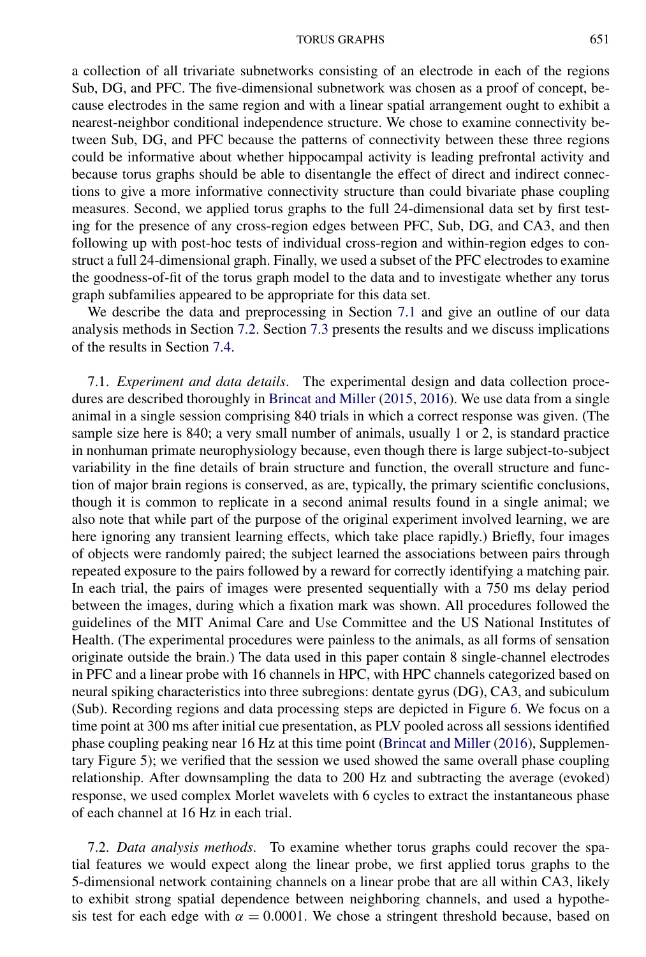a collection of all trivariate subnetworks consisting of an electrode in each of the regions Sub, DG, and PFC. The five-dimensional subnetwork was chosen as a proof of concept, because electrodes in the same region and with a linear spatial arrangement ought to exhibit a nearest-neighbor conditional independence structure. We chose to examine connectivity between Sub, DG, and PFC because the patterns of connectivity between these three regions could be informative about whether hippocampal activity is leading prefrontal activity and because torus graphs should be able to disentangle the effect of direct and indirect connections to give a more informative connectivity structure than could bivariate phase coupling measures. Second, we applied torus graphs to the full 24-dimensional data set by first testing for the presence of any cross-region edges between PFC, Sub, DG, and CA3, and then following up with post-hoc tests of individual cross-region and within-region edges to construct a full 24-dimensional graph. Finally, we used a subset of the PFC electrodes to examine the goodness-of-fit of the torus graph model to the data and to investigate whether any torus graph subfamilies appeared to be appropriate for this data set.

We describe the data and preprocessing in Section 7.1 and give an outline of our data analysis methods in Section 7.2. Section [7.3](#page-18-0) presents the results and we discuss implications of the results in Section [7.4.](#page-20-0)

7.1. *Experiment and data details*. The experimental design and data collection procedures are described thoroughly in [Brincat and Miller](#page-23-0) [\(2015,](#page-23-0) [2016\)](#page-23-0). We use data from a single animal in a single session comprising 840 trials in which a correct response was given. (The sample size here is 840; a very small number of animals, usually 1 or 2, is standard practice in nonhuman primate neurophysiology because, even though there is large subject-to-subject variability in the fine details of brain structure and function, the overall structure and function of major brain regions is conserved, as are, typically, the primary scientific conclusions, though it is common to replicate in a second animal results found in a single animal; we also note that while part of the purpose of the original experiment involved learning, we are here ignoring any transient learning effects, which take place rapidly.) Briefly, four images of objects were randomly paired; the subject learned the associations between pairs through repeated exposure to the pairs followed by a reward for correctly identifying a matching pair. In each trial, the pairs of images were presented sequentially with a 750 ms delay period between the images, during which a fixation mark was shown. All procedures followed the guidelines of the MIT Animal Care and Use Committee and the US National Institutes of Health. (The experimental procedures were painless to the animals, as all forms of sensation originate outside the brain.) The data used in this paper contain 8 single-channel electrodes in PFC and a linear probe with 16 channels in HPC, with HPC channels categorized based on neural spiking characteristics into three subregions: dentate gyrus (DG), CA3, and subiculum (Sub). Recording regions and data processing steps are depicted in Figure [6.](#page-17-0) We focus on a time point at 300 ms after initial cue presentation, as PLV pooled across all sessions identified phase coupling peaking near 16 Hz at this time point [\(Brincat and Miller](#page-23-0) [\(2016\)](#page-23-0), Supplementary Figure 5); we verified that the session we used showed the same overall phase coupling relationship. After downsampling the data to 200 Hz and subtracting the average (evoked) response, we used complex Morlet wavelets with 6 cycles to extract the instantaneous phase of each channel at 16 Hz in each trial.

7.2. *Data analysis methods*. To examine whether torus graphs could recover the spatial features we would expect along the linear probe, we first applied torus graphs to the 5-dimensional network containing channels on a linear probe that are all within CA3, likely to exhibit strong spatial dependence between neighboring channels, and used a hypothesis test for each edge with  $\alpha = 0.0001$ . We chose a stringent threshold because, based on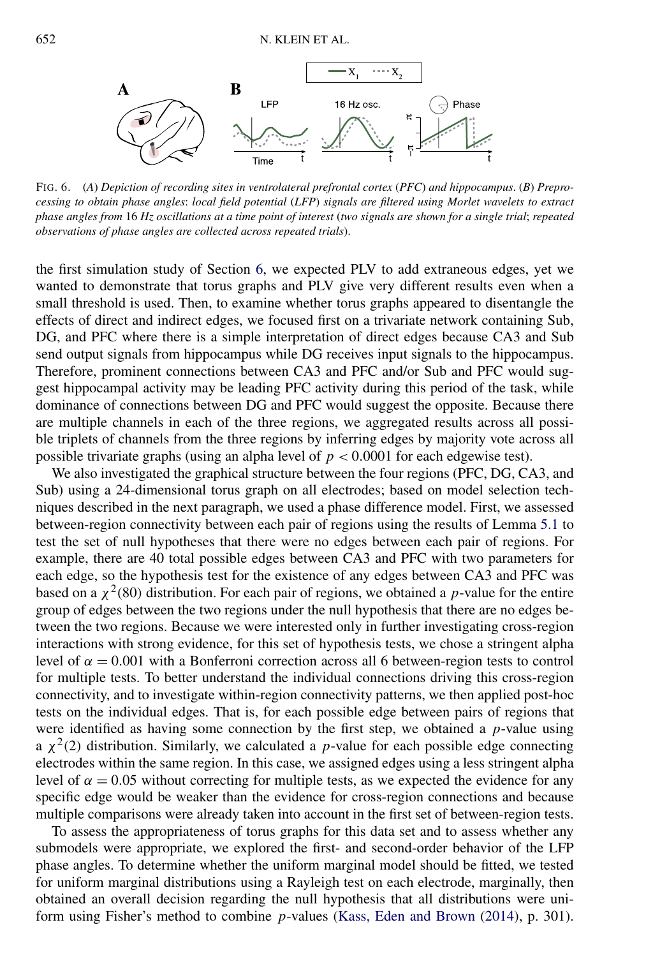<span id="page-17-0"></span>

FIG. 6. (*A*) *Depiction of recording sites in ventrolateral prefrontal cortex* (*PFC*) *and hippocampus*. (*B*) *Preprocessing to obtain phase angles*: *local field potential* (*LFP*) *signals are filtered using Morlet wavelets to extract phase angles from* 16 *Hz oscillations at a time point of interest* (*two signals are shown for a single trial*; *repeated observations of phase angles are collected across repeated trials*).

the first simulation study of Section [6,](#page-13-0) we expected PLV to add extraneous edges, yet we wanted to demonstrate that torus graphs and PLV give very different results even when a small threshold is used. Then, to examine whether torus graphs appeared to disentangle the effects of direct and indirect edges, we focused first on a trivariate network containing Sub, DG, and PFC where there is a simple interpretation of direct edges because CA3 and Sub send output signals from hippocampus while DG receives input signals to the hippocampus. Therefore, prominent connections between CA3 and PFC and/or Sub and PFC would suggest hippocampal activity may be leading PFC activity during this period of the task, while dominance of connections between DG and PFC would suggest the opposite. Because there are multiple channels in each of the three regions, we aggregated results across all possible triplets of channels from the three regions by inferring edges by majority vote across all possible trivariate graphs (using an alpha level of  $p < 0.0001$  for each edgewise test).

We also investigated the graphical structure between the four regions (PFC, DG, CA3, and Sub) using a 24-dimensional torus graph on all electrodes; based on model selection techniques described in the next paragraph, we used a phase difference model. First, we assessed between-region connectivity between each pair of regions using the results of Lemma [5.1](#page-12-0) to test the set of null hypotheses that there were no edges between each pair of regions. For example, there are 40 total possible edges between CA3 and PFC with two parameters for each edge, so the hypothesis test for the existence of any edges between CA3 and PFC was based on a  $\chi^2(80)$  distribution. For each pair of regions, we obtained a *p*-value for the entire group of edges between the two regions under the null hypothesis that there are no edges between the two regions. Because we were interested only in further investigating cross-region interactions with strong evidence, for this set of hypothesis tests, we chose a stringent alpha level of  $\alpha = 0.001$  with a Bonferroni correction across all 6 between-region tests to control for multiple tests. To better understand the individual connections driving this cross-region connectivity, and to investigate within-region connectivity patterns, we then applied post-hoc tests on the individual edges. That is, for each possible edge between pairs of regions that were identified as having some connection by the first step, we obtained a *p*-value using a  $\chi^2(2)$  distribution. Similarly, we calculated a *p*-value for each possible edge connecting electrodes within the same region. In this case, we assigned edges using a less stringent alpha level of  $\alpha = 0.05$  without correcting for multiple tests, as we expected the evidence for any specific edge would be weaker than the evidence for cross-region connections and because multiple comparisons were already taken into account in the first set of between-region tests.

To assess the appropriateness of torus graphs for this data set and to assess whether any submodels were appropriate, we explored the first- and second-order behavior of the LFP phase angles. To determine whether the uniform marginal model should be fitted, we tested for uniform marginal distributions using a Rayleigh test on each electrode, marginally, then obtained an overall decision regarding the null hypothesis that all distributions were uniform using Fisher's method to combine *p*-values [\(Kass, Eden and Brown](#page-24-0) [\(2014\)](#page-24-0), p. 301).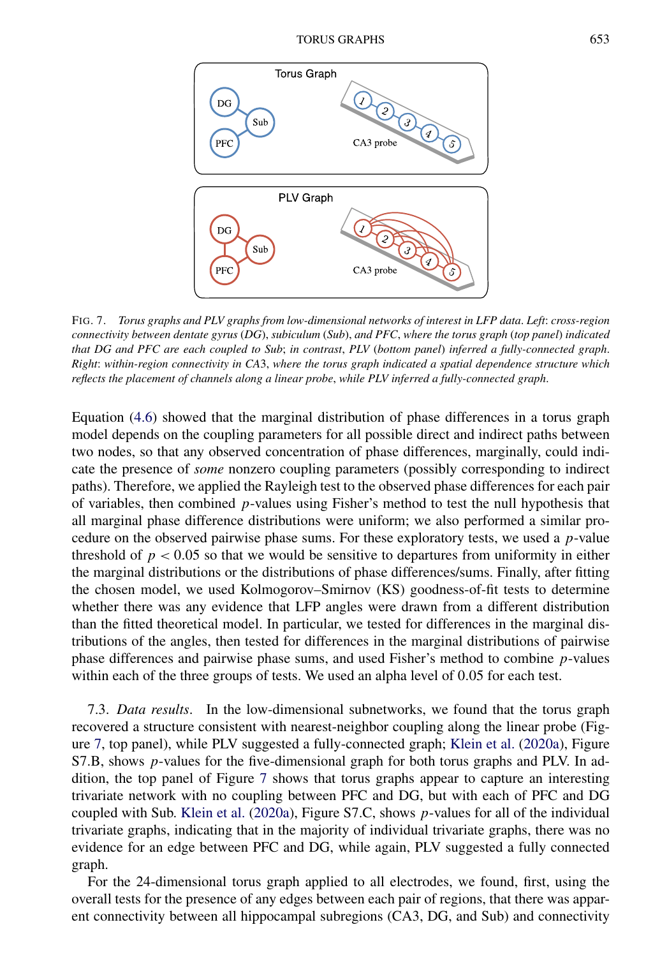<span id="page-18-0"></span>

FIG. 7. *Torus graphs and PLV graphs from low-dimensional networks of interest in LFP data*. *Left*: *cross-region connectivity between dentate gyrus* (*DG*), *subiculum* (*Sub*), *and PFC*, *where the torus graph* (*top panel*) *indicated that DG and PFC are each coupled to Sub*; *in contrast*, *PLV* (*bottom panel*) *inferred a fully-connected graph*. *Right*: *within-region connectivity in CA*3, *where the torus graph indicated a spatial dependence structure which reflects the placement of channels along a linear probe*, *while PLV inferred a fully-connected graph*.

Equation [\(4.6\)](#page-8-0) showed that the marginal distribution of phase differences in a torus graph model depends on the coupling parameters for all possible direct and indirect paths between two nodes, so that any observed concentration of phase differences, marginally, could indicate the presence of *some* nonzero coupling parameters (possibly corresponding to indirect paths). Therefore, we applied the Rayleigh test to the observed phase differences for each pair of variables, then combined *p*-values using Fisher's method to test the null hypothesis that all marginal phase difference distributions were uniform; we also performed a similar procedure on the observed pairwise phase sums. For these exploratory tests, we used a *p*-value threshold of  $p < 0.05$  so that we would be sensitive to departures from uniformity in either the marginal distributions or the distributions of phase differences/sums. Finally, after fitting the chosen model, we used Kolmogorov–Smirnov (KS) goodness-of-fit tests to determine whether there was any evidence that LFP angles were drawn from a different distribution than the fitted theoretical model. In particular, we tested for differences in the marginal distributions of the angles, then tested for differences in the marginal distributions of pairwise phase differences and pairwise phase sums, and used Fisher's method to combine *p*-values within each of the three groups of tests. We used an alpha level of 0*.*05 for each test.

7.3. *Data results*. In the low-dimensional subnetworks, we found that the torus graph recovered a structure consistent with nearest-neighbor coupling along the linear probe (Figure 7, top panel), while PLV suggested a fully-connected graph; [Klein et al.](#page-24-0) [\(2020a\)](#page-24-0), Figure S7.B, shows *p*-values for the five-dimensional graph for both torus graphs and PLV. In addition, the top panel of Figure 7 shows that torus graphs appear to capture an interesting trivariate network with no coupling between PFC and DG, but with each of PFC and DG coupled with Sub. [Klein et al.](#page-24-0) [\(2020a\)](#page-24-0), Figure S7.C, shows *p*-values for all of the individual trivariate graphs, indicating that in the majority of individual trivariate graphs, there was no evidence for an edge between PFC and DG, while again, PLV suggested a fully connected graph.

For the 24-dimensional torus graph applied to all electrodes, we found, first, using the overall tests for the presence of any edges between each pair of regions, that there was apparent connectivity between all hippocampal subregions (CA3, DG, and Sub) and connectivity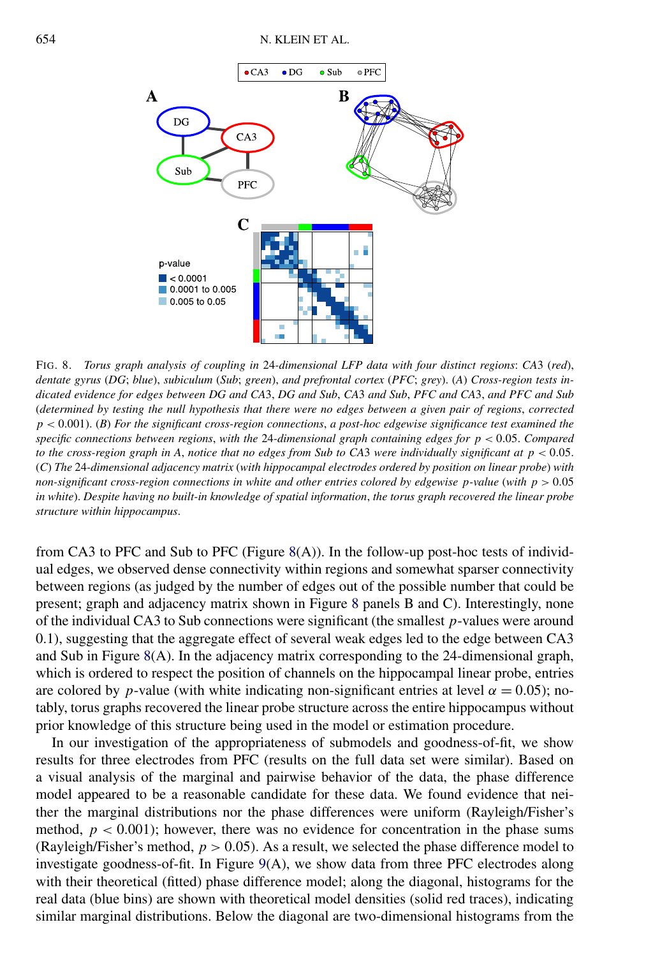<span id="page-19-0"></span>

FIG. 8. *Torus graph analysis of coupling in* 24*-dimensional LFP data with four distinct regions*: *CA*3 (*red*), *dentate gyrus* (*DG*; *blue*), *subiculum* (*Sub*; *green*), *and prefrontal cortex* (*PFC*; *grey*). (*A*) *Cross-region tests indicated evidence for edges between DG and CA*3, *DG and Sub*, *CA*3 *and Sub*, *PFC and CA*3, *and PFC and Sub* (*determined by testing the null hypothesis that there were no edges between a given pair of regions*, *corrected p <* 0*.*001). (*B*) *For the significant cross-region connections*, *a post-hoc edgewise significance test examined the specific connections between regions*, *with the* 24*-dimensional graph containing edges for p <* 0*.*05. *Compared to the cross-region graph in A*, *notice that no edges from Sub to CA*3 *were individually significant at p <* 0*.*05. (*C*) *The* 24*-dimensional adjacency matrix* (*with hippocampal electrodes ordered by position on linear probe*) *with non-significant cross-region connections in white and other entries colored by edgewise p-value* (*with p >* 0*.*05 *in white*). *Despite having no built-in knowledge of spatial information*, *the torus graph recovered the linear probe structure within hippocampus*.

from CA3 to PFC and Sub to PFC (Figure 8(A)). In the follow-up post-hoc tests of individual edges, we observed dense connectivity within regions and somewhat sparser connectivity between regions (as judged by the number of edges out of the possible number that could be present; graph and adjacency matrix shown in Figure 8 panels B and C). Interestingly, none of the individual CA3 to Sub connections were significant (the smallest *p*-values were around 0.1), suggesting that the aggregate effect of several weak edges led to the edge between CA3 and Sub in Figure 8(A). In the adjacency matrix corresponding to the 24-dimensional graph, which is ordered to respect the position of channels on the hippocampal linear probe, entries are colored by *p*-value (with white indicating non-significant entries at level  $\alpha = 0.05$ ); notably, torus graphs recovered the linear probe structure across the entire hippocampus without prior knowledge of this structure being used in the model or estimation procedure.

In our investigation of the appropriateness of submodels and goodness-of-fit, we show results for three electrodes from PFC (results on the full data set were similar). Based on a visual analysis of the marginal and pairwise behavior of the data, the phase difference model appeared to be a reasonable candidate for these data. We found evidence that neither the marginal distributions nor the phase differences were uniform (Rayleigh/Fisher's method,  $p < 0.001$ ); however, there was no evidence for concentration in the phase sums (Rayleigh/Fisher's method,  $p > 0.05$ ). As a result, we selected the phase difference model to investigate goodness-of-fit. In Figure [9\(](#page-20-0)A), we show data from three PFC electrodes along with their theoretical (fitted) phase difference model; along the diagonal, histograms for the real data (blue bins) are shown with theoretical model densities (solid red traces), indicating similar marginal distributions. Below the diagonal are two-dimensional histograms from the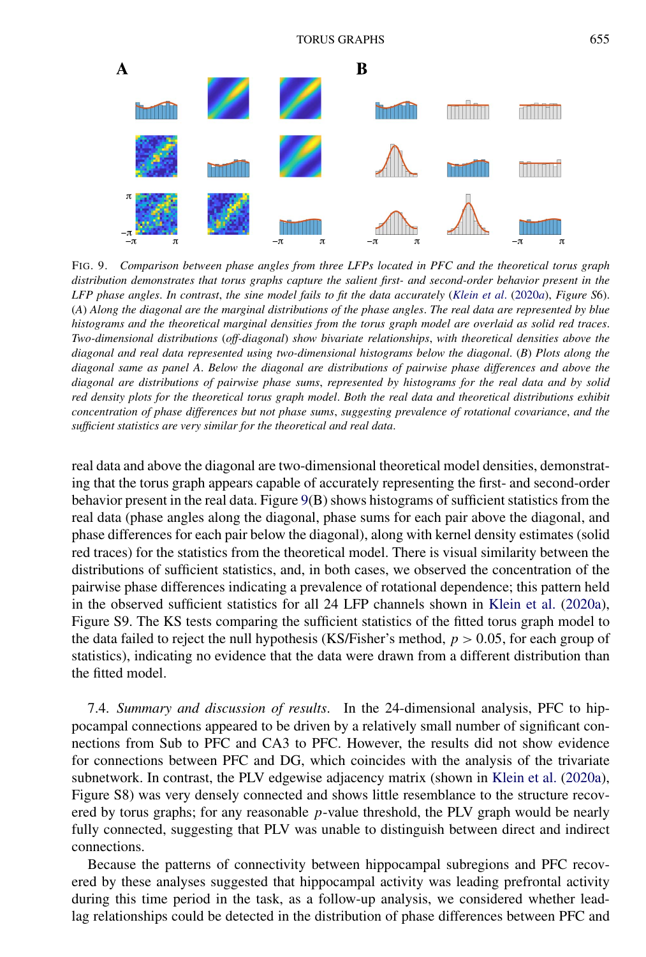<span id="page-20-0"></span>

FIG. 9. *Comparison between phase angles from three LFPs located in PFC and the theoretical torus graph distribution demonstrates that torus graphs capture the salient first- and second-order behavior present in the LFP phase angles*. *In contrast*, *the sine model fails to fit the data accurately* (*[Klein et al](#page-24-0)*. [\(2020](#page-24-0)*a*), *Figure S*6). (*A*) *Along the diagonal are the marginal distributions of the phase angles*. *The real data are represented by blue histograms and the theoretical marginal densities from the torus graph model are overlaid as solid red traces*. *Two-dimensional distributions* (*off-diagonal*) *show bivariate relationships*, *with theoretical densities above the diagonal and real data represented using two-dimensional histograms below the diagonal*. (*B*) *Plots along the diagonal same as panel A*. *Below the diagonal are distributions of pairwise phase differences and above the diagonal are distributions of pairwise phase sums*, *represented by histograms for the real data and by solid red density plots for the theoretical torus graph model*. *Both the real data and theoretical distributions exhibit concentration of phase differences but not phase sums*, *suggesting prevalence of rotational covariance*, *and the sufficient statistics are very similar for the theoretical and real data*.

real data and above the diagonal are two-dimensional theoretical model densities, demonstrating that the torus graph appears capable of accurately representing the first- and second-order behavior present in the real data. Figure 9(B) shows histograms of sufficient statistics from the real data (phase angles along the diagonal, phase sums for each pair above the diagonal, and phase differences for each pair below the diagonal), along with kernel density estimates (solid red traces) for the statistics from the theoretical model. There is visual similarity between the distributions of sufficient statistics, and, in both cases, we observed the concentration of the pairwise phase differences indicating a prevalence of rotational dependence; this pattern held in the observed sufficient statistics for all 24 LFP channels shown in [Klein et al.](#page-24-0) [\(2020a\)](#page-24-0), Figure S9. The KS tests comparing the sufficient statistics of the fitted torus graph model to the data failed to reject the null hypothesis (KS/Fisher's method, *p >* 0*.*05, for each group of statistics), indicating no evidence that the data were drawn from a different distribution than the fitted model.

7.4. *Summary and discussion of results*. In the 24-dimensional analysis, PFC to hippocampal connections appeared to be driven by a relatively small number of significant connections from Sub to PFC and CA3 to PFC. However, the results did not show evidence for connections between PFC and DG, which coincides with the analysis of the trivariate subnetwork. In contrast, the PLV edgewise adjacency matrix (shown in [Klein et al.](#page-24-0) [\(2020a\)](#page-24-0), Figure S8) was very densely connected and shows little resemblance to the structure recovered by torus graphs; for any reasonable *p*-value threshold, the PLV graph would be nearly fully connected, suggesting that PLV was unable to distinguish between direct and indirect connections.

Because the patterns of connectivity between hippocampal subregions and PFC recovered by these analyses suggested that hippocampal activity was leading prefrontal activity during this time period in the task, as a follow-up analysis, we considered whether leadlag relationships could be detected in the distribution of phase differences between PFC and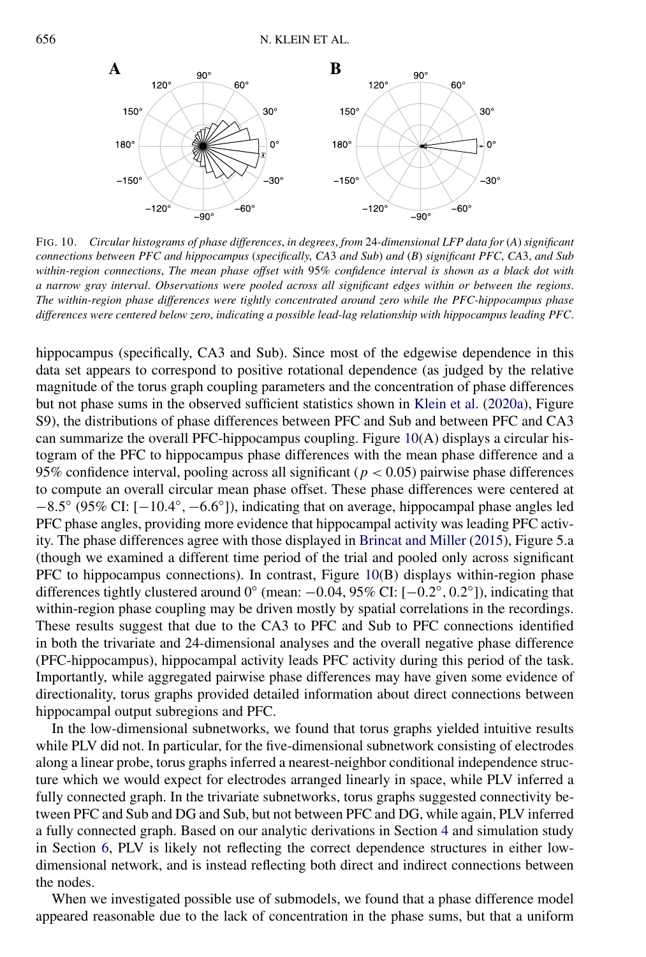

FIG. 10. *Circular histograms of phase differences*, *in degrees*, *from* 24*-dimensional LFP data for* (*A*) *significant connections between PFC and hippocampus* (*specifically*, *CA*3 *and Sub*) *and* (*B*) *significant PFC*, *CA*3, *and Sub within-region connections*, *The mean phase offset with* 95% *confidence interval is shown as a black dot with a narrow gray interval*. *Observations were pooled across all significant edges within or between the regions*. *The within-region phase differences were tightly concentrated around zero while the PFC-hippocampus phase differences were centered below zero*, *indicating a possible lead-lag relationship with hippocampus leading PFC*.

hippocampus (specifically, CA3 and Sub). Since most of the edgewise dependence in this data set appears to correspond to positive rotational dependence (as judged by the relative magnitude of the torus graph coupling parameters and the concentration of phase differences but not phase sums in the observed sufficient statistics shown in [Klein et al.](#page-24-0) [\(2020a\)](#page-24-0), Figure S9), the distributions of phase differences between PFC and Sub and between PFC and CA3 can summarize the overall PFC-hippocampus coupling. Figure 10(A) displays a circular histogram of the PFC to hippocampus phase differences with the mean phase difference and a 95% confidence interval, pooling across all significant (*p <* 0*.*05) pairwise phase differences to compute an overall circular mean phase offset. These phase differences were centered at −8*.*5◦ (95% CI: [−10*.*4◦*,*−6*.*6◦]), indicating that on average, hippocampal phase angles led PFC phase angles, providing more evidence that hippocampal activity was leading PFC activity. The phase differences agree with those displayed in [Brincat and Miller](#page-23-0) [\(2015\)](#page-23-0), Figure 5.a (though we examined a different time period of the trial and pooled only across significant PFC to hippocampus connections). In contrast, Figure 10(B) displays within-region phase differences tightly clustered around 0◦ (mean: −0*.*04, 95% CI: [−0*.*2◦*,* 0*.*2◦]), indicating that within-region phase coupling may be driven mostly by spatial correlations in the recordings. These results suggest that due to the CA3 to PFC and Sub to PFC connections identified in both the trivariate and 24-dimensional analyses and the overall negative phase difference (PFC-hippocampus), hippocampal activity leads PFC activity during this period of the task. Importantly, while aggregated pairwise phase differences may have given some evidence of directionality, torus graphs provided detailed information about direct connections between hippocampal output subregions and PFC.

In the low-dimensional subnetworks, we found that torus graphs yielded intuitive results while PLV did not. In particular, for the five-dimensional subnetwork consisting of electrodes along a linear probe, torus graphs inferred a nearest-neighbor conditional independence structure which we would expect for electrodes arranged linearly in space, while PLV inferred a fully connected graph. In the trivariate subnetworks, torus graphs suggested connectivity between PFC and Sub and DG and Sub, but not between PFC and DG, while again, PLV inferred a fully connected graph. Based on our analytic derivations in Section [4](#page-5-0) and simulation study in Section [6,](#page-13-0) PLV is likely not reflecting the correct dependence structures in either lowdimensional network, and is instead reflecting both direct and indirect connections between the nodes.

When we investigated possible use of submodels, we found that a phase difference model appeared reasonable due to the lack of concentration in the phase sums, but that a uniform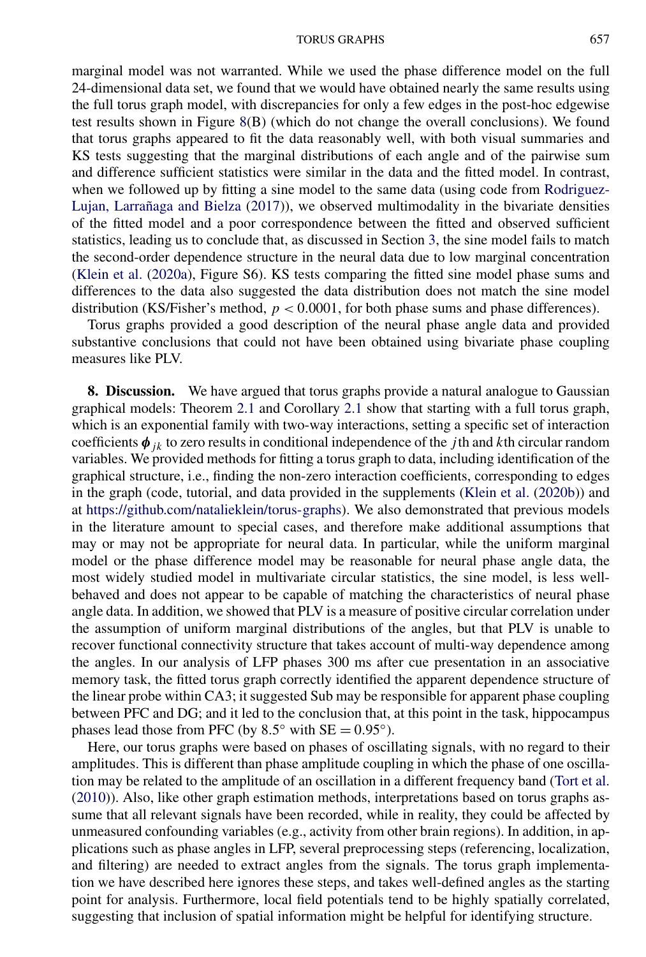#### TORUS GRAPHS 657

<span id="page-22-0"></span>marginal model was not warranted. While we used the phase difference model on the full 24-dimensional data set, we found that we would have obtained nearly the same results using the full torus graph model, with discrepancies for only a few edges in the post-hoc edgewise test results shown in Figure [8\(](#page-19-0)B) (which do not change the overall conclusions). We found that torus graphs appeared to fit the data reasonably well, with both visual summaries and KS tests suggesting that the marginal distributions of each angle and of the pairwise sum and difference sufficient statistics were similar in the data and the fitted model. In contrast, when we followed up by fitting a sine model to the same data (using code from [Rodriguez-](#page-24-0)[Lujan, Larrañaga and Bielza](#page-24-0) [\(2017\)](#page-24-0)), we observed multimodality in the bivariate densities of the fitted model and a poor correspondence between the fitted and observed sufficient statistics, leading us to conclude that, as discussed in Section [3,](#page-5-0) the sine model fails to match the second-order dependence structure in the neural data due to low marginal concentration [\(Klein et al.](#page-24-0) [\(2020a\)](#page-24-0), Figure S6). KS tests comparing the fitted sine model phase sums and differences to the data also suggested the data distribution does not match the sine model distribution (KS/Fisher's method, *p <* 0*.*0001, for both phase sums and phase differences).

Torus graphs provided a good description of the neural phase angle data and provided substantive conclusions that could not have been obtained using bivariate phase coupling measures like PLV.

**8. Discussion.** We have argued that torus graphs provide a natural analogue to Gaussian graphical models: Theorem [2.1](#page-3-0) and Corollary [2.1](#page-4-0) show that starting with a full torus graph, which is an exponential family with two-way interactions, setting a specific set of interaction coefficients  $\phi_{jk}$  to zero results in conditional independence of the *j*th and *k*th circular random variables. We provided methods for fitting a torus graph to data, including identification of the graphical structure, i.e., finding the non-zero interaction coefficients, corresponding to edges in the graph (code, tutorial, and data provided in the supplements [\(Klein et al.](#page-24-0) [\(2020b\)](#page-24-0)) and at <https://github.com/natalieklein/torus-graphs>). We also demonstrated that previous models in the literature amount to special cases, and therefore make additional assumptions that may or may not be appropriate for neural data. In particular, while the uniform marginal model or the phase difference model may be reasonable for neural phase angle data, the most widely studied model in multivariate circular statistics, the sine model, is less wellbehaved and does not appear to be capable of matching the characteristics of neural phase angle data. In addition, we showed that PLV is a measure of positive circular correlation under the assumption of uniform marginal distributions of the angles, but that PLV is unable to recover functional connectivity structure that takes account of multi-way dependence among the angles. In our analysis of LFP phases 300 ms after cue presentation in an associative memory task, the fitted torus graph correctly identified the apparent dependence structure of the linear probe within CA3; it suggested Sub may be responsible for apparent phase coupling between PFC and DG; and it led to the conclusion that, at this point in the task, hippocampus phases lead those from PFC (by  $8.5^\circ$  with SE =  $0.95^\circ$ ).

Here, our torus graphs were based on phases of oscillating signals, with no regard to their amplitudes. This is different than phase amplitude coupling in which the phase of one oscillation may be related to the amplitude of an oscillation in a different frequency band [\(Tort et al.](#page-25-0) [\(2010\)](#page-25-0)). Also, like other graph estimation methods, interpretations based on torus graphs assume that all relevant signals have been recorded, while in reality, they could be affected by unmeasured confounding variables (e.g., activity from other brain regions). In addition, in applications such as phase angles in LFP, several preprocessing steps (referencing, localization, and filtering) are needed to extract angles from the signals. The torus graph implementation we have described here ignores these steps, and takes well-defined angles as the starting point for analysis. Furthermore, local field potentials tend to be highly spatially correlated, suggesting that inclusion of spatial information might be helpful for identifying structure.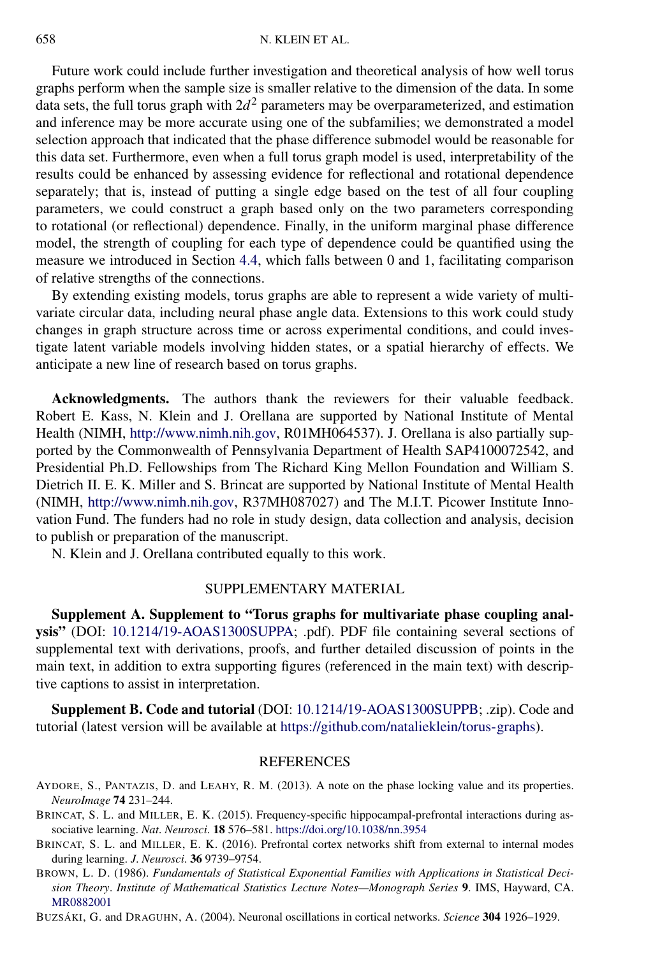<span id="page-23-0"></span>Future work could include further investigation and theoretical analysis of how well torus graphs perform when the sample size is smaller relative to the dimension of the data. In some data sets, the full torus graph with  $2d^2$  parameters may be overparameterized, and estimation and inference may be more accurate using one of the subfamilies; we demonstrated a model selection approach that indicated that the phase difference submodel would be reasonable for this data set. Furthermore, even when a full torus graph model is used, interpretability of the results could be enhanced by assessing evidence for reflectional and rotational dependence separately; that is, instead of putting a single edge based on the test of all four coupling parameters, we could construct a graph based only on the two parameters corresponding to rotational (or reflectional) dependence. Finally, in the uniform marginal phase difference model, the strength of coupling for each type of dependence could be quantified using the measure we introduced in Section [4.4,](#page-9-0) which falls between 0 and 1, facilitating comparison of relative strengths of the connections.

By extending existing models, torus graphs are able to represent a wide variety of multivariate circular data, including neural phase angle data. Extensions to this work could study changes in graph structure across time or across experimental conditions, and could investigate latent variable models involving hidden states, or a spatial hierarchy of effects. We anticipate a new line of research based on torus graphs.

**Acknowledgments.** The authors thank the reviewers for their valuable feedback. Robert E. Kass, N. Klein and J. Orellana are supported by National Institute of Mental Health (NIMH, [http://www.nimh.nih.gov,](http://www.nimh.nih.gov) R01MH064537). J. Orellana is also partially supported by the Commonwealth of Pennsylvania Department of Health SAP4100072542, and Presidential Ph.D. Fellowships from The Richard King Mellon Foundation and William S. Dietrich II. E. K. Miller and S. Brincat are supported by National Institute of Mental Health (NIMH, <http://www.nimh.nih.gov>, R37MH087027) and The M.I.T. Picower Institute Innovation Fund. The funders had no role in study design, data collection and analysis, decision to publish or preparation of the manuscript.

N. Klein and J. Orellana contributed equally to this work.

### SUPPLEMENTARY MATERIAL

**Supplement A. Supplement to "Torus graphs for multivariate phase coupling analysis"** (DOI: [10.1214/19-AOAS1300SUPPA](https://doi.org/10.1214/19-AOAS1300SUPPA); .pdf). PDF file containing several sections of supplemental text with derivations, proofs, and further detailed discussion of points in the main text, in addition to extra supporting figures (referenced in the main text) with descriptive captions to assist in interpretation.

**Supplement B. Code and tutorial** (DOI: [10.1214/19-AOAS1300SUPPB](https://doi.org/10.1214/19-AOAS1300SUPPB); .zip). Code and tutorial (latest version will be available at <https://github.com/natalieklein/torus-graphs>).

#### REFERENCES

- AYDORE, S., PANTAZIS, D. and LEAHY, R. M. (2013). A note on the phase locking value and its properties. *NeuroImage* **74** 231–244.
- BRINCAT, S. L. and MILLER, E. K. (2015). Frequency-specific hippocampal-prefrontal interactions during associative learning. *Nat*. *Neurosci*. **18** 576–581. <https://doi.org/10.1038/nn.3954>
- BRINCAT, S. L. and MILLER, E. K. (2016). Prefrontal cortex networks shift from external to internal modes during learning. *J*. *Neurosci*. **36** 9739–9754.
- BROWN, L. D. (1986). *Fundamentals of Statistical Exponential Families with Applications in Statistical Decision Theory*. *Institute of Mathematical Statistics Lecture Notes—Monograph Series* **9**. IMS, Hayward, CA. [MR0882001](http://www.ams.org/mathscinet-getitem?mr=0882001)
- BUZSÁKI, G. and DRAGUHN, A. (2004). Neuronal oscillations in cortical networks. *Science* **304** 1926–1929.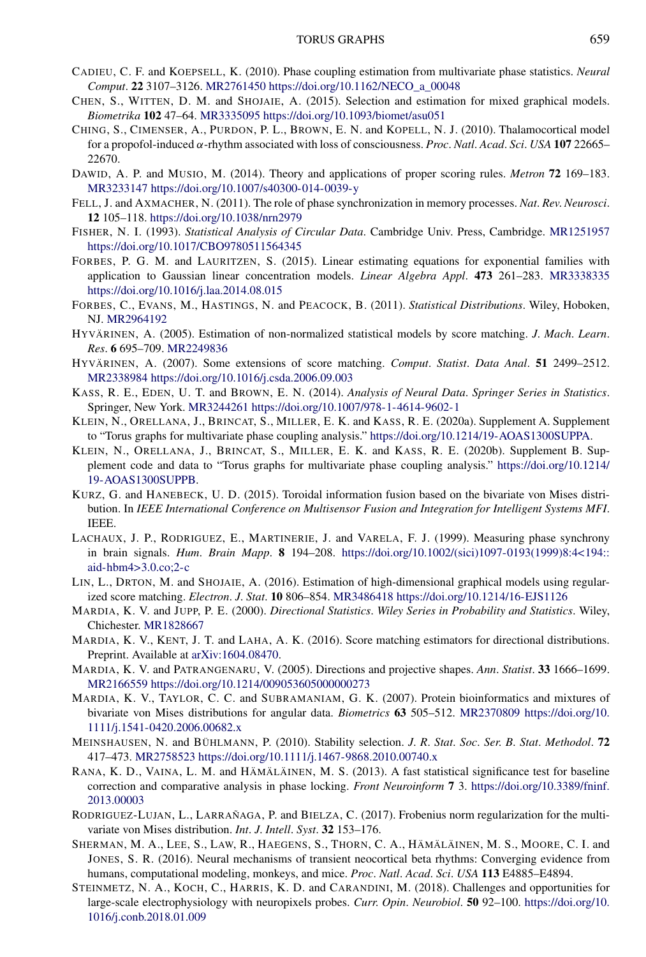- <span id="page-24-0"></span>CADIEU, C. F. and KOEPSELL, K. (2010). Phase coupling estimation from multivariate phase statistics. *Neural Comput*. **22** 3107–3126. [MR2761450](http://www.ams.org/mathscinet-getitem?mr=2761450) [https://doi.org/10.1162/NECO\\_a\\_00048](https://doi.org/10.1162/NECO_a_00048)
- CHEN, S., WITTEN, D. M. and SHOJAIE, A. (2015). Selection and estimation for mixed graphical models. *Biometrika* **102** 47–64. [MR3335095](http://www.ams.org/mathscinet-getitem?mr=3335095)<https://doi.org/10.1093/biomet/asu051>
- CHING, S., CIMENSER, A., PURDON, P. L., BROWN, E. N. and KOPELL, N. J. (2010). Thalamocortical model for a propofol-induced *α*-rhythm associated with loss of consciousness. *Proc*. *Natl*. *Acad*. *Sci*. *USA* **107** 22665– 22670.
- DAWID, A. P. and MUSIO, M. (2014). Theory and applications of proper scoring rules. *Metron* **72** 169–183. [MR3233147](http://www.ams.org/mathscinet-getitem?mr=3233147)<https://doi.org/10.1007/s40300-014-0039-y>
- FELL, J. and AXMACHER, N. (2011). The role of phase synchronization in memory processes. *Nat*. *Rev*. *Neurosci*. **12** 105–118. <https://doi.org/10.1038/nrn2979>
- FISHER, N. I. (1993). *Statistical Analysis of Circular Data*. Cambridge Univ. Press, Cambridge. [MR1251957](http://www.ams.org/mathscinet-getitem?mr=1251957) <https://doi.org/10.1017/CBO9780511564345>
- FORBES, P. G. M. and LAURITZEN, S. (2015). Linear estimating equations for exponential families with application to Gaussian linear concentration models. *Linear Algebra Appl*. **473** 261–283. [MR3338335](http://www.ams.org/mathscinet-getitem?mr=3338335) <https://doi.org/10.1016/j.laa.2014.08.015>
- FORBES, C., EVANS, M., HASTINGS, N. and PEACOCK, B. (2011). *Statistical Distributions*. Wiley, Hoboken, NJ. [MR2964192](http://www.ams.org/mathscinet-getitem?mr=2964192)
- HYVÄRINEN, A. (2005). Estimation of non-normalized statistical models by score matching. *J*. *Mach*. *Learn*. *Res*. **6** 695–709. [MR2249836](http://www.ams.org/mathscinet-getitem?mr=2249836)
- HYVÄRINEN, A. (2007). Some extensions of score matching. *Comput*. *Statist*. *Data Anal*. **51** 2499–2512. [MR2338984](http://www.ams.org/mathscinet-getitem?mr=2338984)<https://doi.org/10.1016/j.csda.2006.09.003>
- KASS, R. E., EDEN, U. T. and BROWN, E. N. (2014). *Analysis of Neural Data*. *Springer Series in Statistics*. Springer, New York. [MR3244261](http://www.ams.org/mathscinet-getitem?mr=3244261)<https://doi.org/10.1007/978-1-4614-9602-1>
- KLEIN, N., ORELLANA, J., BRINCAT, S., MILLER, E. K. and KASS, R. E. (2020a). Supplement A. Supplement to "Torus graphs for multivariate phase coupling analysis." <https://doi.org/10.1214/19-AOAS1300SUPPA>.
- KLEIN, N., ORELLANA, J., BRINCAT, S., MILLER, E. K. and KASS, R. E. (2020b). Supplement B. Supplement code and data to "Torus graphs for multivariate phase coupling analysis." [https://doi.org/10.1214/](https://doi.org/10.1214/19-AOAS1300SUPPB) [19-AOAS1300SUPPB](https://doi.org/10.1214/19-AOAS1300SUPPB).
- KURZ, G. and HANEBECK, U. D. (2015). Toroidal information fusion based on the bivariate von Mises distribution. In *IEEE International Conference on Multisensor Fusion and Integration for Intelligent Systems MFI*. IEEE.
- LACHAUX, J. P., RODRIGUEZ, E., MARTINERIE, J. and VARELA, F. J. (1999). Measuring phase synchrony in brain signals. *Hum*. *Brain Mapp*. **8** 194–208. [https://doi.org/10.1002/\(sici\)1097-0193\(1999\)8:4<194::](https://doi.org/10.1002/(sici)1097-0193(1999)8:4<194::aid-hbm4>3.0.co;2-c) [aid-hbm4>3.0.co;2-c](https://doi.org/10.1002/(sici)1097-0193(1999)8:4<194::aid-hbm4>3.0.co;2-c)
- LIN, L., DRTON, M. and SHOJAIE, A. (2016). Estimation of high-dimensional graphical models using regularized score matching. *Electron*. *J*. *Stat*. **10** 806–854. [MR3486418](http://www.ams.org/mathscinet-getitem?mr=3486418)<https://doi.org/10.1214/16-EJS1126>
- MARDIA, K. V. and JUPP, P. E. (2000). *Directional Statistics*. *Wiley Series in Probability and Statistics*. Wiley, Chichester. [MR1828667](http://www.ams.org/mathscinet-getitem?mr=1828667)
- MARDIA, K. V., KENT, J. T. and LAHA, A. K. (2016). Score matching estimators for directional distributions. Preprint. Available at [arXiv:1604.08470.](http://arxiv.org/abs/arXiv:1604.08470)
- MARDIA, K. V. and PATRANGENARU, V. (2005). Directions and projective shapes. *Ann*. *Statist*. **33** 1666–1699. [MR2166559](http://www.ams.org/mathscinet-getitem?mr=2166559)<https://doi.org/10.1214/009053605000000273>
- MARDIA, K. V., TAYLOR, C. C. and SUBRAMANIAM, G. K. (2007). Protein bioinformatics and mixtures of bivariate von Mises distributions for angular data. *Biometrics* **63** 505–512. [MR2370809](http://www.ams.org/mathscinet-getitem?mr=2370809) [https://doi.org/10.](https://doi.org/10.1111/j.1541-0420.2006.00682.x) [1111/j.1541-0420.2006.00682.x](https://doi.org/10.1111/j.1541-0420.2006.00682.x)
- MEINSHAUSEN, N. and BÜHLMANN, P. (2010). Stability selection. *J*. *R*. *Stat*. *Soc*. *Ser*. *B*. *Stat*. *Methodol*. **72** 417–473. [MR2758523](http://www.ams.org/mathscinet-getitem?mr=2758523)<https://doi.org/10.1111/j.1467-9868.2010.00740.x>
- RANA, K. D., VAINA, L. M. and HÄMÄLÄINEN, M. S. (2013). A fast statistical significance test for baseline correction and comparative analysis in phase locking. *Front Neuroinform* **7** 3. [https://doi.org/10.3389/fninf.](https://doi.org/10.3389/fninf.2013.00003) [2013.00003](https://doi.org/10.3389/fninf.2013.00003)
- RODRIGUEZ-LUJAN, L., LARRAÑAGA, P. and BIELZA, C. (2017). Frobenius norm regularization for the multivariate von Mises distribution. *Int*. *J*. *Intell*. *Syst*. **32** 153–176.
- SHERMAN, M. A., LEE, S., LAW, R., HAEGENS, S., THORN, C. A., HÄMÄLÄINEN, M. S., MOORE, C. I. and JONES, S. R. (2016). Neural mechanisms of transient neocortical beta rhythms: Converging evidence from humans, computational modeling, monkeys, and mice. *Proc*. *Natl*. *Acad*. *Sci*. *USA* **113** E4885–E4894.
- STEINMETZ, N. A., KOCH, C., HARRIS, K. D. and CARANDINI, M. (2018). Challenges and opportunities for large-scale electrophysiology with neuropixels probes. *Curr*. *Opin*. *Neurobiol*. **50** 92–100. [https://doi.org/10.](https://doi.org/10.1016/j.conb.2018.01.009) [1016/j.conb.2018.01.009](https://doi.org/10.1016/j.conb.2018.01.009)